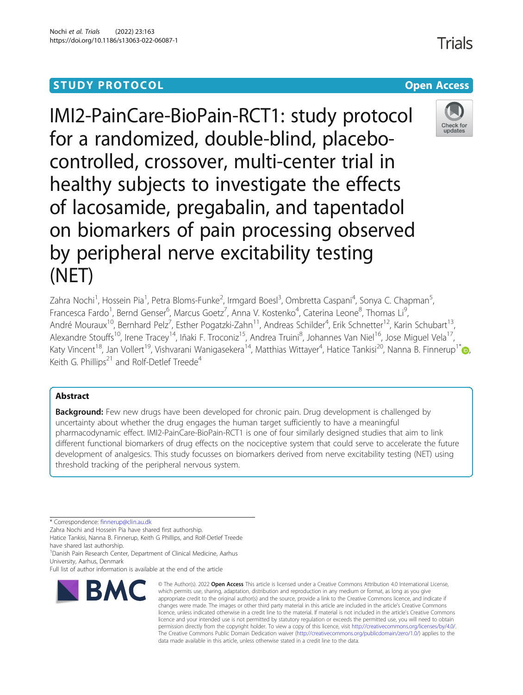# **STUDY PROTOCOL CONSUMING THE RESERVE ACCESS**

IMI2-PainCare-BioPain-RCT1: study protocol for a randomized, double-blind, placebocontrolled, crossover, multi-center trial in healthy subjects to investigate the effects of lacosamide, pregabalin, and tapentadol on biomarkers of pain processing observed by peripheral nerve excitability testing

Zahra Nochi<sup>1</sup>, Hossein Pia<sup>1</sup>, Petra Bloms-Funke<sup>2</sup>, Irmgard Boesl<sup>3</sup>, Ombretta Caspani<sup>4</sup>, Sonya C. Chapman<sup>5</sup> , Francesca Fardo<sup>1</sup>, Bernd Genser<sup>6</sup>, Marcus Goetz<sup>7</sup>, Anna V. Kostenko<sup>4</sup>, Caterina Leone<sup>8</sup>, Thomas Li<sup>s</sup> , André Mouraux<sup>10</sup>, Bernhard Pelz<sup>7</sup>, Esther Pogatzki-Zahn<sup>11</sup>, Andreas Schilder<sup>4</sup>, Erik Schnetter<sup>12</sup>, Karin Schubart<sup>13</sup>, Alexandre Stouffs<sup>10</sup>, Irene Tracey<sup>14</sup>, Iñaki F. Troconiz<sup>15</sup>, Andrea Truini<sup>8</sup>, Johannes Van Niel<sup>16</sup>, Jose Miguel Vela<sup>17</sup>, Katy Vincent<sup>18</sup>[,](http://orcid.org/0000-0001-5541-0240) Jan Vollert<sup>19</sup>, Vishvarani Wanigasekera<sup>14</sup>, Matthias Wittayer<sup>4</sup>, Hatice Tankisi<sup>20</sup>, Nanna B. Finnerup<sup>1\*</sup>@, Keith G. Phillips<sup>21</sup> and Rolf-Detlef Treede<sup>4</sup>

# Abstract

(NET)

**Background:** Few new drugs have been developed for chronic pain. Drug development is challenged by uncertainty about whether the drug engages the human target sufficiently to have a meaningful pharmacodynamic effect. IMI2-PainCare-BioPain-RCT1 is one of four similarly designed studies that aim to link different functional biomarkers of drug effects on the nociceptive system that could serve to accelerate the future development of analgesics. This study focusses on biomarkers derived from nerve excitability testing (NET) using threshold tracking of the peripheral nervous system.

\* Correspondence: [finnerup@clin.au.dk](mailto:finnerup@clin.au.dk)

Zahra Nochi and Hossein Pia have shared first authorship. Hatice Tankisi, Nanna B. Finnerup, Keith G Phillips, and Rolf-Detlef Treede

<sup>1</sup>Danish Pain Research Center, Department of Clinical Medicine, Aarhus University, Aarhus, Denmark

# have shared last authorship.



<sup>©</sup> The Author(s), 2022 **Open Access** This article is licensed under a Creative Commons Attribution 4.0 International License, which permits use, sharing, adaptation, distribution and reproduction in any medium or format, as long as you give appropriate credit to the original author(s) and the source, provide a link to the Creative Commons licence, and indicate if changes were made. The images or other third party material in this article are included in the article's Creative Commons licence, unless indicated otherwise in a credit line to the material. If material is not included in the article's Creative Commons licence and your intended use is not permitted by statutory regulation or exceeds the permitted use, you will need to obtain permission directly from the copyright holder. To view a copy of this licence, visit [http://creativecommons.org/licenses/by/4.0/.](http://creativecommons.org/licenses/by/4.0/) The Creative Commons Public Domain Dedication waiver [\(http://creativecommons.org/publicdomain/zero/1.0/](http://creativecommons.org/publicdomain/zero/1.0/)) applies to the data made available in this article, unless otherwise stated in a credit line to the data.



Full list of author information is available at the end of the article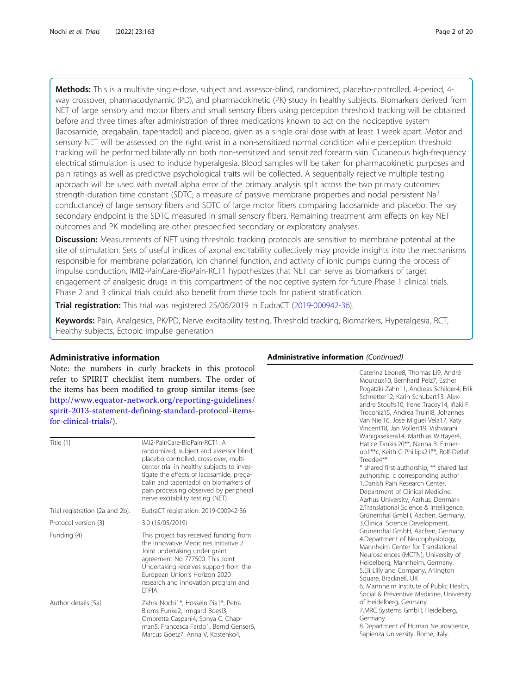Methods: This is a multisite single-dose, subject and assessor-blind, randomized, placebo-controlled, 4-period, 4way crossover, pharmacodynamic (PD), and pharmacokinetic (PK) study in healthy subjects. Biomarkers derived from NET of large sensory and motor fibers and small sensory fibers using perception threshold tracking will be obtained before and three times after administration of three medications known to act on the nociceptive system (lacosamide, pregabalin, tapentadol) and placebo, given as a single oral dose with at least 1 week apart. Motor and sensory NET will be assessed on the right wrist in a non-sensitized normal condition while perception threshold tracking will be performed bilaterally on both non-sensitized and sensitized forearm skin. Cutaneous high-frequency electrical stimulation is used to induce hyperalgesia. Blood samples will be taken for pharmacokinetic purposes and pain ratings as well as predictive psychological traits will be collected. A sequentially rejective multiple testing approach will be used with overall alpha error of the primary analysis split across the two primary outcomes: strength-duration time constant (SDTC; a measure of passive membrane properties and nodal persistent Na<sup>+</sup> conductance) of large sensory fibers and SDTC of large motor fibers comparing lacosamide and placebo. The key secondary endpoint is the SDTC measured in small sensory fibers. Remaining treatment arm effects on key NET outcomes and PK modelling are other prespecified secondary or exploratory analyses.

**Discussion:** Measurements of NET using threshold tracking protocols are sensitive to membrane potential at the site of stimulation. Sets of useful indices of axonal excitability collectively may provide insights into the mechanisms responsible for membrane polarization, ion channel function, and activity of ionic pumps during the process of impulse conduction. IMI2-PainCare-BioPain-RCT1 hypothesizes that NET can serve as biomarkers of target engagement of analgesic drugs in this compartment of the nociceptive system for future Phase 1 clinical trials. Phase 2 and 3 clinical trials could also benefit from these tools for patient stratification.

Trial registration: This trial was registered 25/06/2019 in EudraCT ([2019-000942-36](mailto:2019-000942-36)).

Keywords: Pain, Analgesics, PK/PD, Nerve excitability testing, Threshold tracking, Biomarkers, Hyperalgesia, RCT, Healthy subjects, Ectopic impulse generation

# Administrative information

Note: the numbers in curly brackets in this protocol refer to SPIRIT checklist item numbers. The order of the items has been modified to group similar items (see [http://www.equator-network.org/reporting-guidelines/](http://www.equator-network.org/reporting-guidelines/spirit-2013-statement-defining-standard-protocol-items-for-clinical-trials/) [spirit-2013-statement-defining-standard-protocol-items](http://www.equator-network.org/reporting-guidelines/spirit-2013-statement-defining-standard-protocol-items-for-clinical-trials/)[for-clinical-trials/](http://www.equator-network.org/reporting-guidelines/spirit-2013-statement-defining-standard-protocol-items-for-clinical-trials/)).

| Title $\{1\}$                   | IMI2-PainCare-BioPain-RCT1: A<br>randomized, subject and assessor blind,<br>placebo-controlled, cross-over, multi-<br>center trial in healthy subjects to inves-<br>tigate the effects of lacosamide, prega-<br>balin and tapentadol on biomarkers of<br>pain processing observed by peripheral<br>nerve excitability testing (NET) |
|---------------------------------|-------------------------------------------------------------------------------------------------------------------------------------------------------------------------------------------------------------------------------------------------------------------------------------------------------------------------------------|
| Trial registration {2a and 2b}. | EudraCT registration: 2019-000942-36                                                                                                                                                                                                                                                                                                |
| Protocol version {3}            | 3.0 (15/05/2019)                                                                                                                                                                                                                                                                                                                    |
| Funding {4}                     | This project has received funding from<br>the Innovative Medicines Initiative 2<br>Joint undertaking under grant<br>agreement No 777500. This Joint<br>Undertaking receives support from the<br>European Union's Horizon 2020<br>research and innovation program and<br>FFPIA                                                       |
| Author details {5a}             | Zahra Nochi1*, Hossein Pia1*, Petra<br>Bloms-Funke2, Irmgard Boesl3,<br>Ombretta Caspani4, Sonya C. Chap-<br>man5, Francesca Fardo1, Bernd Genser6<br>Marcus Goetz7, Anna V. Kostenko4,                                                                                                                                             |

# Administrative information (Continued)

Caterina Leone8, Thomas Li9, André Mouraux10, Bernhard Pelz7, Esther Pogatzki-Zahn11, Andreas Schilder4, Erik Schnetter12, Karin Schubart13, Alexandre Stouffs10, Irene Tracey14, Iñaki F. Troconiz15, Andrea Truini8, Johannes Van Niel16, Jose Miguel Vela17, Katy Vincent18, Jan Vollert19, Vishvarani Wanigasekera14, Matthias Wittayer4, Hatice Tankisi20\*\*, Nanna B. Finnerup1\*\*c, Keith G Phillips21\*\*, Rolf-Detlef Treede4\*\* \* shared first authorship, \*\* shared last authorship, c corresponding author 1.Danish Pain Research Center, Department of Clinical Medicine, Aarhus University, Aarhus, Denmark

2.Translational Science & Intelligence, Grünenthal GmbH, Aachen, Germany. 3.Clinical Science Development, Grünenthal GmbH, Aachen, Germany. 4.Department of Neurophysiology, Mannheim Center for Translational Neurosciences (MCTN), University of Heidelberg, Mannheim, Germany. 5.Eli Lilly and Company, Arlington Square, Bracknell, UK 6. Mannheim Institute of Public Health, Social & Preventive Medicine, University of Heidelberg, Germany 7.MRC Systems GmbH, Heidelberg, Germany.

8.Department of Human Neuroscience, Sapienza University, Rome, Italy.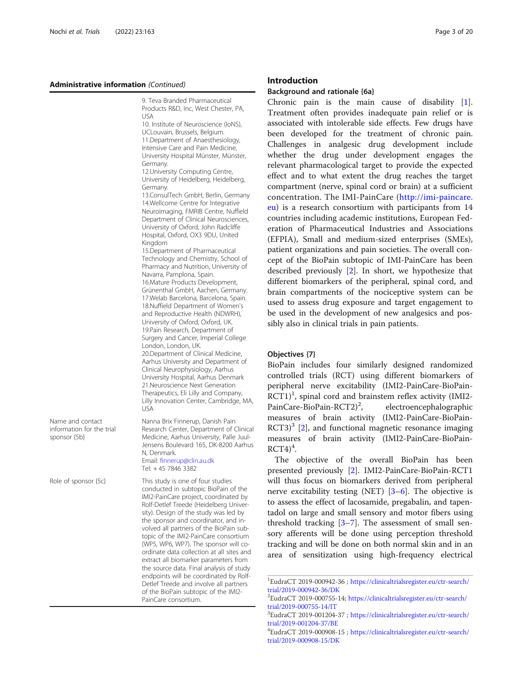#### Administrative information (Continued)

9. Teva Branded Pharmaceutical Products R&D, Inc, West Chester, PA, USA

10. Institute of Neuroscience (IoNS), UCLouvain, Brussels, Belgium. 11.Department of Anaesthesiology, Intensive Care and Pain Medicine, University Hospital Münster, Münster,

Germany. 12.University Computing Centre, University of Heidelberg, Heidelberg, Germany.

13.ConsulTech GmbH, Berlin, Germany 14.Wellcome Centre for Integrative Neuroimaging, FMRIB Centre, Nuffield Department of Clinical Neurosciences, University of Oxford, John Radcliffe Hospital, Oxford, OX3 9DU, United Kingdom

15.Department of Pharmaceutical Technology and Chemistry, School of Pharmacy and Nutrition, University of Navarra, Pamplona, Spain. 16.Mature Products Development, Grünenthal GmbH, Aachen, Germany. 17.Welab Barcelona, Barcelona, Spain. 18.Nuffield Department of Women's and Reproductive Health (NDWRH), University of Oxford, Oxford, UK. 19.Pain Research, Department of Surgery and Cancer, Imperial College London, London, UK. 20.Department of Clinical Medicine, Aarhus University and Department of Clinical Neurophysiology, Aarhus University Hospital, Aarhus Denmark 21.Neuroscience Next Generation Therapeutics, Eli Lilly and Company, Lilly Innovation Center, Cambridge, MA, USA

Nanna Brix Finnerup, Danish Pain Research Center, Department of Clinical Medicine, Aarhus University, Palle Juul-Jensens Boulevard 165, DK-8200 Aarhus

conducted in subtopic BioPain of the IMI2-PainCare project, coordinated by Rolf-Detlef Treede (Heidelberg University). Design of the study was led by the sponsor and coordinator, and involved all partners of the BioPain subtopic of the IMI2-PainCare consortium (WP5, WP6, WP7). The sponsor will coordinate data collection at all sites and extract all biomarker parameters from the source data. Final analysis of study endpoints will be coordinated by Rolf-Detlef Treede and involve all partners of the BioPain subtopic of the IMI2-

Email: [finnerup@clin.au.dk](mailto:finnerup@clin.au.dk) Tel: + 45 7846 3382

PainCare consortium.

N, Denmark.

Name and contact information for the trial sponsor {5b}

Role of sponsor {5c} This study is one of four studies

#### Introduction

#### Background and rationale {6a}

Chronic pain is the main cause of disability [\[1](#page-19-0)]. Treatment often provides inadequate pain relief or is associated with intolerable side effects. Few drugs have been developed for the treatment of chronic pain. Challenges in analgesic drug development include whether the drug under development engages the relevant pharmacological target to provide the expected effect and to what extent the drug reaches the target compartment (nerve, spinal cord or brain) at a sufficient concentration. The IMI-PainCare ([http://imi-paincare.](http://imi-paincare.eu) [eu](http://imi-paincare.eu)) is a research consortium with participants from 14 countries including academic institutions, European Federation of Pharmaceutical Industries and Associations (EFPIA), Small and medium-sized enterprises (SMEs), patient organizations and pain societies. The overall concept of the BioPain subtopic of IMI-PainCare has been described previously [[2\]](#page-19-0). In short, we hypothesize that different biomarkers of the peripheral, spinal cord, and brain compartments of the nociceptive system can be used to assess drug exposure and target engagement to be used in the development of new analgesics and possibly also in clinical trials in pain patients.

# Objectives {7}

BioPain includes four similarly designed randomized controlled trials (RCT) using different biomarkers of peripheral nerve excitability (IMI2-PainCare-BioPain- $\overline{RCT1)}^1$ , spinal cord and brainstem reflex activity (IMI2-PainCare-BioPain-RCT2)<sup>2</sup>, , electroencephalographic measures of brain activity (IMI2-PainCare-BioPain- $RCT3$ <sup>3</sup> [[2\]](#page-19-0), and functional magnetic resonance imaging measures of brain activity (IMI2-PainCare-BioPain- $RCT4)^4$ .

The objective of the overall BioPain has been presented previously [\[2](#page-19-0)]. IMI2-PainCare-BioPain-RCT1 will thus focus on biomarkers derived from peripheral nerve excitability testing (NET)  $[3-6]$  $[3-6]$  $[3-6]$  $[3-6]$ . The objective is to assess the effect of lacosamide, pregabalin, and tapentadol on large and small sensory and motor fibers using threshold tracking  $[3-7]$  $[3-7]$  $[3-7]$ . The assessment of small sensory afferents will be done using perception threshold tracking and will be done on both normal skin and in an area of sensitization using high-frequency electrical

<sup>1</sup> EudraCT 2019-000942-36 ; [https://clinicaltrialsregister.eu/ctr-search/](https://clinicaltrialsregister.eu/ctr-search/trial/2019-000908-15/DK) [trial/2019-000942-36/DK](https://clinicaltrialsregister.eu/ctr-search/trial/2019-000908-15/DK)

<sup>2</sup> EudraCT 2019-000755-14; [https://clinicaltrialsregister.eu/ctr-search/](https://clinicaltrialsregister.eu/ctr-search/trial/2019-000908-15/DK) [trial/2019-000755-14/IT](https://clinicaltrialsregister.eu/ctr-search/trial/2019-000908-15/DK)

<sup>3</sup> EudraCT 2019-001204-37 ; [https://clinicaltrialsregister.eu/ctr-search/](https://clinicaltrialsregister.eu/ctr-search/trial/2019-000908-15/DK) [trial/2019-001204-37/BE](https://clinicaltrialsregister.eu/ctr-search/trial/2019-000908-15/DK)

<sup>4</sup> EudraCT 2019-000908-15 ; [https://clinicaltrialsregister.eu/ctr-search/](https://clinicaltrialsregister.eu/ctr-search/trial/2019-000908-15/DK) [trial/2019-000908-15/DK](https://clinicaltrialsregister.eu/ctr-search/trial/2019-000908-15/DK)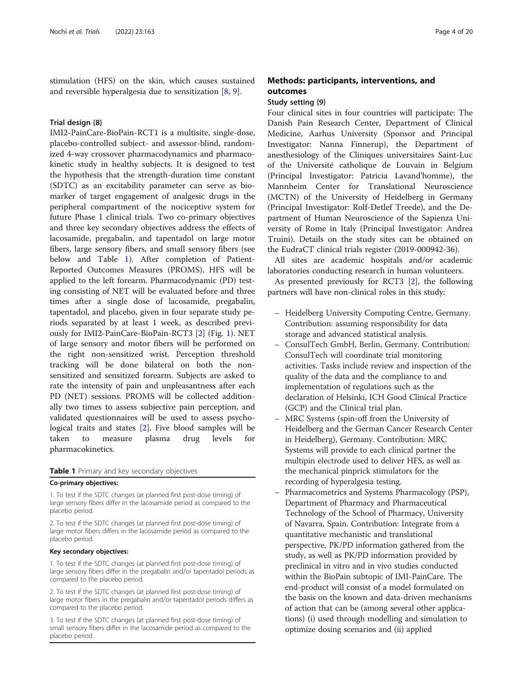stimulation (HFS) on the skin, which causes sustained and reversible hyperalgesia due to sensitization [\[8](#page-19-0), [9](#page-19-0)].

#### Trial design {8}

IMI2-PainCare-BioPain-RCT1 is a multisite, single-dose, placebo-controlled subject- and assessor-blind, randomized 4-way crossover pharmacodynamics and pharmacokinetic study in healthy subjects. It is designed to test the hypothesis that the strength-duration time constant (SDTC) as an excitability parameter can serve as biomarker of target engagement of analgesic drugs in the peripheral compartment of the nociceptive system for future Phase 1 clinical trials. Two co-primary objectives and three key secondary objectives address the effects of lacosamide, pregabalin, and tapentadol on large motor fibers, large sensory fibers, and small sensory fibers (see below and Table 1). After completion of Patient-Reported Outcomes Measures (PROMS), HFS will be applied to the left forearm. Pharmacodynamic (PD) testing consisting of NET will be evaluated before and three times after a single dose of lacosamide, pregabalin, tapentadol, and placebo, given in four separate study periods separated by at least 1 week, as described previously for IMI2-PainCare-BioPain-RCT3 [[2\]](#page-19-0) (Fig. [1\)](#page-4-0). NET of large sensory and motor fibers will be performed on the right non-sensitized wrist. Perception threshold tracking will be done bilateral on both the nonsensitized and sensitized forearm. Subjects are asked to rate the intensity of pain and unpleasantness after each PD (NET) sessions. PROMS will be collected additionally two times to assess subjective pain perception, and validated questionnaires will be used to assess psychological traits and states [\[2](#page-19-0)]. Five blood samples will be taken to measure plasma drug levels for pharmacokinetics.

#### Table 1 Primary and key secondary objectives

#### Co-primary objectives:

1. To test if the SDTC changes (at planned first post-dose timing) of large sensory fibers differ in the lacosamide period as compared to the placebo period.

2. To test if the SDTC changes (at planned first post-dose timing) of large motor fibers differs in the lacosamide period as compared to the placebo period.

#### Key secondary objectives:

1. To test if the SDTC changes (at planned first post-dose timing) of large sensory fibers differ in the pregabalin and/or tapentadol periods as compared to the placebo period.

2. To test if the SDTC changes (at planned first post-dose timing) of large motor fibers in the pregabalin and/or tapentadol periods differs as compared to the placebo period.

3. To test if the SDTC changes (at planned first post-dose timing) of small sensory fibers differ in the lacosamide period as compared to the placebo period.

# Methods: participants, interventions, and outcomes

#### Study setting {9}

Four clinical sites in four countries will participate: The Danish Pain Research Center, Department of Clinical Medicine, Aarhus University (Sponsor and Principal Investigator: Nanna Finnerup), the Department of anesthesiology of the Cliniques universitaires Saint-Luc of the Université catholique de Louvain in Belgium (Principal Investigator: Patricia Lavand'homme), the Mannheim Center for Translational Neuroscience (MCTN) of the University of Heidelberg in Germany (Principal Investigator: Rolf-Detlef Treede), and the Department of Human Neuroscience of the Sapienza University of Rome in Italy (Principal Investigator: Andrea Truini). Details on the study sites can be obtained on the EudraCT clinical trials register (2019-000942-36).

All sites are academic hospitals and/or academic laboratories conducting research in human volunteers.

As presented previously for RCT3 [[2\]](#page-19-0), the following partners will have non-clinical roles in this study:

- Heidelberg University Computing Centre, Germany. Contribution: assuming responsibility for data storage and advanced statistical analysis.
- ConsulTech GmbH, Berlin, Germany. Contribution: ConsulTech will coordinate trial monitoring activities. Tasks include review and inspection of the quality of the data and the compliance to and implementation of regulations such as the declaration of Helsinki, ICH Good Clinical Practice (GCP) and the Clinical trial plan.
- MRC Systems (spin-off from the University of Heidelberg and the German Cancer Research Center in Heidelberg), Germany. Contribution: MRC Systems will provide to each clinical partner the multipin electrode used to deliver HFS, as well as the mechanical pinprick stimulators for the recording of hyperalgesia testing.
- Pharmacometrics and Systems Pharmacology (PSP), Department of Pharmacy and Pharmaceutical Technology of the School of Pharmacy, University of Navarra, Spain. Contribution: Integrate from a quantitative mechanistic and translational perspective, PK/PD information gathered from the study, as well as PK/PD information provided by preclinical in vitro and in vivo studies conducted within the BioPain subtopic of IMI-PainCare. The end-product will consist of a model formulated on the basis on the known and data-driven mechanisms of action that can be (among several other applications) (i) used through modelling and simulation to optimize dosing scenarios and (ii) applied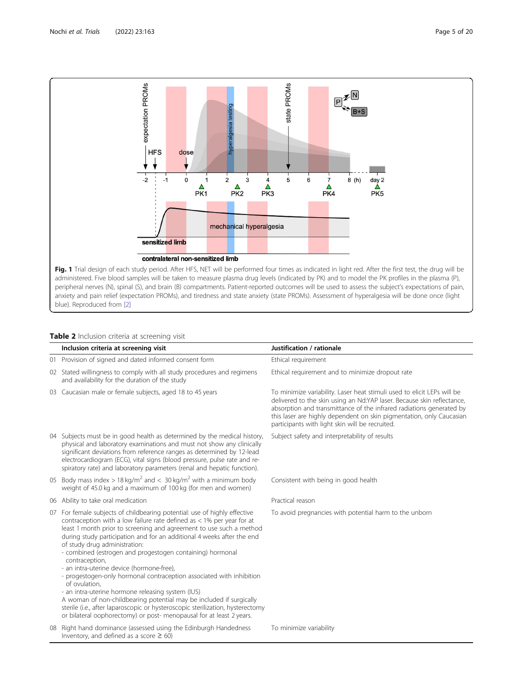<span id="page-4-0"></span>

# Table 2 Inclusion criteria at screening visit

|    | Inclusion criteria at screening visit                                                                                                                                                                                                                                                                                                                                                                                                                                                                                                                                                                                                                                                                                                                                                                                                          | Justification / rationale                                                                                                                                                                                                                                                                                                                            |
|----|------------------------------------------------------------------------------------------------------------------------------------------------------------------------------------------------------------------------------------------------------------------------------------------------------------------------------------------------------------------------------------------------------------------------------------------------------------------------------------------------------------------------------------------------------------------------------------------------------------------------------------------------------------------------------------------------------------------------------------------------------------------------------------------------------------------------------------------------|------------------------------------------------------------------------------------------------------------------------------------------------------------------------------------------------------------------------------------------------------------------------------------------------------------------------------------------------------|
|    | 01 Provision of signed and dated informed consent form                                                                                                                                                                                                                                                                                                                                                                                                                                                                                                                                                                                                                                                                                                                                                                                         | Ethical requirement                                                                                                                                                                                                                                                                                                                                  |
|    | 02 Stated willingness to comply with all study procedures and regimens<br>and availability for the duration of the study                                                                                                                                                                                                                                                                                                                                                                                                                                                                                                                                                                                                                                                                                                                       | Ethical requirement and to minimize dropout rate                                                                                                                                                                                                                                                                                                     |
|    | 03 Caucasian male or female subjects, aged 18 to 45 years                                                                                                                                                                                                                                                                                                                                                                                                                                                                                                                                                                                                                                                                                                                                                                                      | To minimize variability. Laser heat stimuli used to elicit LEPs will be<br>delivered to the skin using an Nd:YAP laser. Because skin reflectance,<br>absorption and transmittance of the infrared radiations generated by<br>this laser are highly dependent on skin pigmentation, only Caucasian<br>participants with light skin will be recruited. |
|    | 04 Subjects must be in good health as determined by the medical history,<br>physical and laboratory examinations and must not show any clinically<br>significant deviations from reference ranges as determined by 12-lead<br>electrocardiogram (ECG), vital signs (blood pressure, pulse rate and re-<br>spiratory rate) and laboratory parameters (renal and hepatic function).                                                                                                                                                                                                                                                                                                                                                                                                                                                              | Subject safety and interpretability of results                                                                                                                                                                                                                                                                                                       |
|    | 05 Body mass index > 18 kg/m <sup>2</sup> and < 30 kg/m <sup>2</sup> with a minimum body<br>weight of 45.0 kg and a maximum of 100 kg (for men and women)                                                                                                                                                                                                                                                                                                                                                                                                                                                                                                                                                                                                                                                                                      | Consistent with being in good health                                                                                                                                                                                                                                                                                                                 |
|    | 06 Ability to take oral medication                                                                                                                                                                                                                                                                                                                                                                                                                                                                                                                                                                                                                                                                                                                                                                                                             | Practical reason                                                                                                                                                                                                                                                                                                                                     |
| 07 | For female subjects of childbearing potential: use of highly effective<br>contraception with a low failure rate defined as $<$ 1% per year for at<br>least 1 month prior to screening and agreement to use such a method<br>during study participation and for an additional 4 weeks after the end<br>of study drug administration:<br>- combined (estrogen and progestogen containing) hormonal<br>contraception,<br>- an intra-uterine device (hormone-free),<br>- progestogen-only hormonal contraception associated with inhibition<br>of ovulation,<br>- an intra-uterine hormone releasing system (IUS)<br>A woman of non-childbearing potential may be included if surgically<br>sterile (i.e., after laparoscopic or hysteroscopic sterilization, hysterectomy<br>or bilateral oophorectomy) or post- menopausal for at least 2 years. | To avoid pregnancies with potential harm to the unborn                                                                                                                                                                                                                                                                                               |
|    | 08 Right hand dominance (assessed using the Edinburgh Handedness<br>Inventory, and defined as a score $\geq 60$ )                                                                                                                                                                                                                                                                                                                                                                                                                                                                                                                                                                                                                                                                                                                              | To minimize variability                                                                                                                                                                                                                                                                                                                              |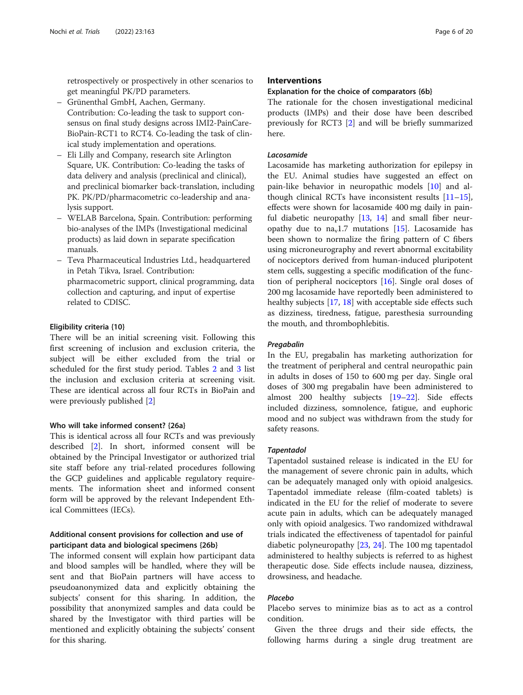retrospectively or prospectively in other scenarios to get meaningful PK/PD parameters.

- Grünenthal GmbH, Aachen, Germany. Contribution: Co-leading the task to support consensus on final study designs across IMI2-PainCare-BioPain-RCT1 to RCT4. Co-leading the task of clinical study implementation and operations.
- Eli Lilly and Company, research site Arlington Square, UK. Contribution: Co-leading the tasks of data delivery and analysis (preclinical and clinical), and preclinical biomarker back-translation, including PK. PK/PD/pharmacometric co-leadership and analysis support.
- WELAB Barcelona, Spain. Contribution: performing bio-analyses of the IMPs (Investigational medicinal products) as laid down in separate specification manuals.
- Teva Pharmaceutical Industries Ltd., headquartered in Petah Tikva, Israel. Contribution: pharmacometric support, clinical programming, data collection and capturing, and input of expertise related to CDISC.

# Eligibility criteria {10}

There will be an initial screening visit. Following this first screening of inclusion and exclusion criteria, the subject will be either excluded from the trial or scheduled for the first study period. Tables [2](#page-4-0) and [3](#page-6-0) list the inclusion and exclusion criteria at screening visit. These are identical across all four RCTs in BioPain and were previously published [[2\]](#page-19-0)

#### Who will take informed consent? {26a}

This is identical across all four RCTs and was previously described [[2\]](#page-19-0). In short, informed consent will be obtained by the Principal Investigator or authorized trial site staff before any trial-related procedures following the GCP guidelines and applicable regulatory requirements. The information sheet and informed consent form will be approved by the relevant Independent Ethical Committees (IECs).

# Additional consent provisions for collection and use of participant data and biological specimens {26b}

The informed consent will explain how participant data and blood samples will be handled, where they will be sent and that BioPain partners will have access to pseudoanonymized data and explicitly obtaining the subjects' consent for this sharing. In addition, the possibility that anonymized samples and data could be shared by the Investigator with third parties will be mentioned and explicitly obtaining the subjects' consent for this sharing.

# **Interventions**

#### Explanation for the choice of comparators {6b}

The rationale for the chosen investigational medicinal products (IMPs) and their dose have been described previously for RCT3 [[2\]](#page-19-0) and will be briefly summarized here.

#### Lacosamide

Lacosamide has marketing authorization for epilepsy in the EU. Animal studies have suggested an effect on pain-like behavior in neuropathic models [[10\]](#page-19-0) and although clinical RCTs have inconsistent results  $[11-15]$  $[11-15]$  $[11-15]$  $[11-15]$  $[11-15]$ , effects were shown for lacosamide 400 mg daily in painful diabetic neuropathy [[13](#page-19-0), [14](#page-19-0)] and small fiber neuropathy due to  $na<sub>v</sub>1.7$  mutations [\[15](#page-19-0)]. Lacosamide has been shown to normalize the firing pattern of C fibers using microneurography and revert abnormal excitability of nociceptors derived from human-induced pluripotent stem cells, suggesting a specific modification of the function of peripheral nociceptors [[16\]](#page-19-0). Single oral doses of 200 mg lacosamide have reportedly been administered to healthy subjects [[17](#page-19-0), [18](#page-19-0)] with acceptable side effects such as dizziness, tiredness, fatigue, paresthesia surrounding the mouth, and thrombophlebitis.

#### Pregabalin

In the EU, pregabalin has marketing authorization for the treatment of peripheral and central neuropathic pain in adults in doses of 150 to 600 mg per day. Single oral doses of 300 mg pregabalin have been administered to almost 200 healthy subjects [\[19](#page-19-0)–[22\]](#page-19-0). Side effects included dizziness, somnolence, fatigue, and euphoric mood and no subject was withdrawn from the study for safety reasons.

# Tapentadol

Tapentadol sustained release is indicated in the EU for the management of severe chronic pain in adults, which can be adequately managed only with opioid analgesics. Tapentadol immediate release (film-coated tablets) is indicated in the EU for the relief of moderate to severe acute pain in adults, which can be adequately managed only with opioid analgesics. Two randomized withdrawal trials indicated the effectiveness of tapentadol for painful diabetic polyneuropathy [[23,](#page-19-0) [24\]](#page-19-0). The 100 mg tapentadol administered to healthy subjects is referred to as highest therapeutic dose. Side effects include nausea, dizziness, drowsiness, and headache.

# Placebo

Placebo serves to minimize bias as to act as a control condition.

Given the three drugs and their side effects, the following harms during a single drug treatment are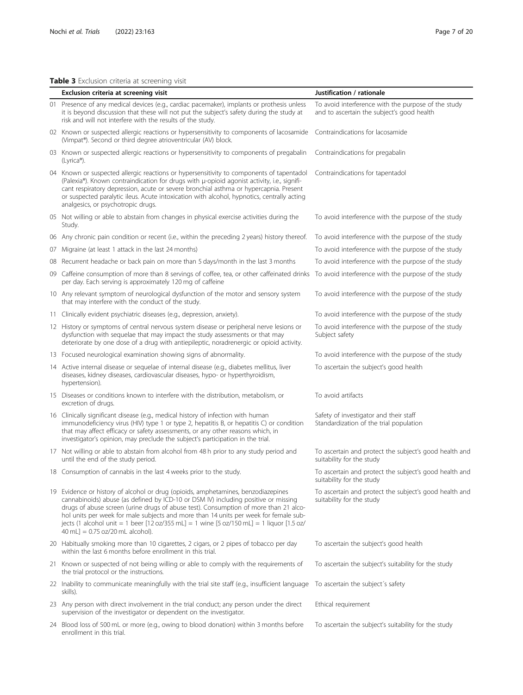# <span id="page-6-0"></span>Table 3 Exclusion criteria at screening visit

| Exclusion criteria at screening visit                                                                                                                                                                                                                                                                                                                                                                                                                                                     | Justification / rationale                                                                         |  |  |  |
|-------------------------------------------------------------------------------------------------------------------------------------------------------------------------------------------------------------------------------------------------------------------------------------------------------------------------------------------------------------------------------------------------------------------------------------------------------------------------------------------|---------------------------------------------------------------------------------------------------|--|--|--|
| 01 Presence of any medical devices (e.g., cardiac pacemaker), implants or prothesis unless<br>it is beyond discussion that these will not put the subject's safety during the study at<br>risk and will not interfere with the results of the study.                                                                                                                                                                                                                                      | To avoid interference with the purpose of the study<br>and to ascertain the subject's good health |  |  |  |
| 02 Known or suspected allergic reactions or hypersensitivity to components of lacosamide<br>(Vimpat <sup>®</sup> ). Second or third degree atrioventricular (AV) block.                                                                                                                                                                                                                                                                                                                   | Contraindications for lacosamide                                                                  |  |  |  |
| 03 Known or suspected allergic reactions or hypersensitivity to components of pregabalin<br>(Lyrica®).                                                                                                                                                                                                                                                                                                                                                                                    | Contraindications for pregabalin                                                                  |  |  |  |
| 04 Known or suspected allergic reactions or hypersensitivity to components of tapentadol<br>(Palexia®). Known contraindication for drugs with µ-opioid agonist activity, i.e., signifi-<br>cant respiratory depression, acute or severe bronchial asthma or hypercapnia. Present<br>or suspected paralytic ileus. Acute intoxication with alcohol, hypnotics, centrally acting<br>analgesics, or psychotropic drugs.                                                                      | Contraindications for tapentadol                                                                  |  |  |  |
| 05 Not willing or able to abstain from changes in physical exercise activities during the<br>Study.                                                                                                                                                                                                                                                                                                                                                                                       | To avoid interference with the purpose of the study                                               |  |  |  |
| 06 Any chronic pain condition or recent (i.e., within the preceding 2 years) history thereof.                                                                                                                                                                                                                                                                                                                                                                                             | To avoid interference with the purpose of the study                                               |  |  |  |
| 07 Migraine (at least 1 attack in the last 24 months)                                                                                                                                                                                                                                                                                                                                                                                                                                     | To avoid interference with the purpose of the study                                               |  |  |  |
| 08 Recurrent headache or back pain on more than 5 days/month in the last 3 months                                                                                                                                                                                                                                                                                                                                                                                                         | To avoid interference with the purpose of the study                                               |  |  |  |
| 09 Caffeine consumption of more than 8 servings of coffee, tea, or other caffeinated drinks To avoid interference with the purpose of the study<br>per day. Each serving is approximately 120 mg of caffeine                                                                                                                                                                                                                                                                              |                                                                                                   |  |  |  |
| 10 Any relevant symptom of neurological dysfunction of the motor and sensory system<br>that may interfere with the conduct of the study.                                                                                                                                                                                                                                                                                                                                                  | To avoid interference with the purpose of the study                                               |  |  |  |
| 11 Clinically evident psychiatric diseases (e.g., depression, anxiety).                                                                                                                                                                                                                                                                                                                                                                                                                   | To avoid interference with the purpose of the study                                               |  |  |  |
| 12 History or symptoms of central nervous system disease or peripheral nerve lesions or<br>dysfunction with sequelae that may impact the study assessments or that may<br>deteriorate by one dose of a drug with antiepileptic, noradrenergic or opioid activity.                                                                                                                                                                                                                         | To avoid interference with the purpose of the study<br>Subject safety                             |  |  |  |
| 13 Focused neurological examination showing signs of abnormality.                                                                                                                                                                                                                                                                                                                                                                                                                         | To avoid interference with the purpose of the study                                               |  |  |  |
| 14 Active internal disease or sequelae of internal disease (e.g., diabetes mellitus, liver<br>diseases, kidney diseases, cardiovascular diseases, hypo- or hyperthyroidism,<br>hypertension).                                                                                                                                                                                                                                                                                             | To ascertain the subject's good health                                                            |  |  |  |
| 15 Diseases or conditions known to interfere with the distribution, metabolism, or<br>excretion of drugs.                                                                                                                                                                                                                                                                                                                                                                                 | To avoid artifacts                                                                                |  |  |  |
| 16 Clinically significant disease (e.g., medical history of infection with human<br>immunodeficiency virus (HIV) type 1 or type 2, hepatitis B, or hepatitis C) or condition<br>that may affect efficacy or safety assessments, or any other reasons which, in<br>investigator's opinion, may preclude the subject's participation in the trial.                                                                                                                                          | Safety of investigator and their staff<br>Standardization of the trial population                 |  |  |  |
| 17 Not willing or able to abstain from alcohol from 48 h prior to any study period and<br>until the end of the study period.                                                                                                                                                                                                                                                                                                                                                              | To ascertain and protect the subject's good health and<br>suitability for the study               |  |  |  |
| 18 Consumption of cannabis in the last 4 weeks prior to the study.                                                                                                                                                                                                                                                                                                                                                                                                                        | To ascertain and protect the subject's good health and<br>suitability for the study               |  |  |  |
| 19 Evidence or history of alcohol or drug (opioids, amphetamines, benzodiazepines<br>cannabinoids) abuse (as defined by ICD-10 or DSM IV) including positive or missing<br>drugs of abuse screen (urine drugs of abuse test). Consumption of more than 21 alco-<br>hol units per week for male subjects and more than 14 units per week for female sub-<br>jects (1 alcohol unit = 1 beer [12 oz/355 mL] = 1 wine [5 oz/150 mL] = 1 liquor [1.5 oz/<br>$40$ mL] = 0.75 oz/20 mL alcohol). | To ascertain and protect the subject's good health and<br>suitability for the study               |  |  |  |
| 20 Habitually smoking more than 10 cigarettes, 2 cigars, or 2 pipes of tobacco per day<br>within the last 6 months before enrollment in this trial.                                                                                                                                                                                                                                                                                                                                       | To ascertain the subject's good health                                                            |  |  |  |
| 21 Known or suspected of not being willing or able to comply with the requirements of<br>the trial protocol or the instructions.                                                                                                                                                                                                                                                                                                                                                          | To ascertain the subject's suitability for the study                                              |  |  |  |
| 22 Inability to communicate meaningfully with the trial site staff (e.g., insufficient language<br>skills).                                                                                                                                                                                                                                                                                                                                                                               | To ascertain the subject's safety                                                                 |  |  |  |
| 23 Any person with direct involvement in the trial conduct; any person under the direct<br>supervision of the investigator or dependent on the investigator.                                                                                                                                                                                                                                                                                                                              | Ethical requirement                                                                               |  |  |  |

24 Blood loss of 500 mL or more (e.g., owing to blood donation) within 3 months before To ascertain the subject's suitability for the study enrollment in this trial.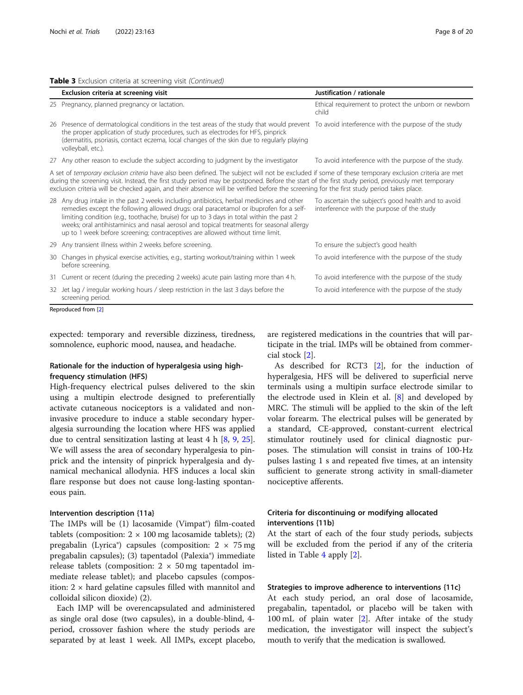|  |  |  | Table 3 Exclusion criteria at screening visit (Continued) |
|--|--|--|-----------------------------------------------------------|
|  |  |  |                                                           |

|     | Exclusion criteria at screening visit                                                                                                                                                                                                                                                                                                                                                                                                                        | Justification / rationale                                                                         |  |  |  |
|-----|--------------------------------------------------------------------------------------------------------------------------------------------------------------------------------------------------------------------------------------------------------------------------------------------------------------------------------------------------------------------------------------------------------------------------------------------------------------|---------------------------------------------------------------------------------------------------|--|--|--|
|     | 25 Pregnancy, planned pregnancy or lactation.                                                                                                                                                                                                                                                                                                                                                                                                                | Ethical requirement to protect the unborn or newborn<br>child                                     |  |  |  |
| 26. | Presence of dermatological conditions in the test areas of the study that would prevent To avoid interference with the purpose of the study<br>the proper application of study procedures, such as electrodes for HFS, pinprick<br>(dermatitis, psoriasis, contact eczema, local changes of the skin due to regularly playing<br>volleyball, etc.).                                                                                                          |                                                                                                   |  |  |  |
|     | 27 Any other reason to exclude the subject according to judgment by the investigator                                                                                                                                                                                                                                                                                                                                                                         | To avoid interference with the purpose of the study.                                              |  |  |  |
|     | A set of temporary exclusion criteria have also been defined. The subject will not be excluded if some of these temporary exclusion criteria are met<br>during the screening visit. Instead, the first study period may be postponed. Before the start of the first study period, previously met temporary<br>exclusion criteria will be checked again, and their absence will be verified before the screening for the first study period takes place.      |                                                                                                   |  |  |  |
|     | 28 Any drug intake in the past 2 weeks including antibiotics, herbal medicines and other<br>remedies except the following allowed drugs: oral paracetamol or ibuprofen for a self-<br>limiting condition (e.g., toothache, bruise) for up to 3 days in total within the past 2<br>weeks; oral antihistaminics and nasal aerosol and topical treatments for seasonal allergy<br>up to 1 week before screening; contraceptives are allowed without time limit. | To ascertain the subject's good health and to avoid<br>interference with the purpose of the study |  |  |  |
| 29  | Any transient illness within 2 weeks before screening.                                                                                                                                                                                                                                                                                                                                                                                                       | To ensure the subject's good health                                                               |  |  |  |
| 30  | Changes in physical exercise activities, e.g., starting workout/training within 1 week<br>before screening.                                                                                                                                                                                                                                                                                                                                                  | To avoid interference with the purpose of the study                                               |  |  |  |
| 31  | Current or recent (during the preceding 2 weeks) acute pain lasting more than 4 h.                                                                                                                                                                                                                                                                                                                                                                           | To avoid interference with the purpose of the study                                               |  |  |  |
|     | 32 Jet lag / irregular working hours / sleep restriction in the last 3 days before the<br>screening period.                                                                                                                                                                                                                                                                                                                                                  | To avoid interference with the purpose of the study                                               |  |  |  |
|     | Reproduced from [2]                                                                                                                                                                                                                                                                                                                                                                                                                                          |                                                                                                   |  |  |  |

expected: temporary and reversible dizziness, tiredness, somnolence, euphoric mood, nausea, and headache.

# Rationale for the induction of hyperalgesia using highfrequency stimulation (HFS)

High-frequency electrical pulses delivered to the skin using a multipin electrode designed to preferentially activate cutaneous nociceptors is a validated and noninvasive procedure to induce a stable secondary hyperalgesia surrounding the location where HFS was applied due to central sensitization lasting at least 4 h [[8](#page-19-0), [9,](#page-19-0) [25](#page-19-0)]. We will assess the area of secondary hyperalgesia to pinprick and the intensity of pinprick hyperalgesia and dynamical mechanical allodynia. HFS induces a local skin flare response but does not cause long-lasting spontaneous pain.

#### Intervention description {11a}

The IMPs will be (1) lacosamide (Vimpat®) film-coated tablets (composition:  $2 \times 100$  mg lacosamide tablets); (2) pregabalin (Lyrica®) capsules (composition:  $2 \times 75$  mg pregabalin capsules); (3) tapentadol (Palexia®) immediate release tablets (composition:  $2 \times 50$  mg tapentadol immediate release tablet); and placebo capsules (composition:  $2 \times$  hard gelatine capsules filled with mannitol and colloidal silicon dioxide) (2).

Each IMP will be overencapsulated and administered as single oral dose (two capsules), in a double-blind, 4 period, crossover fashion where the study periods are separated by at least 1 week. All IMPs, except placebo, are registered medications in the countries that will participate in the trial. IMPs will be obtained from commercial stock [\[2\]](#page-19-0).

As described for RCT3 [[2\]](#page-19-0), for the induction of hyperalgesia, HFS will be delivered to superficial nerve terminals using a multipin surface electrode similar to the electrode used in Klein et al. [\[8](#page-19-0)] and developed by MRC. The stimuli will be applied to the skin of the left volar forearm. The electrical pulses will be generated by a standard, CE-approved, constant-current electrical stimulator routinely used for clinical diagnostic purposes. The stimulation will consist in trains of 100-Hz pulses lasting 1 s and repeated five times, at an intensity sufficient to generate strong activity in small-diameter nociceptive afferents.

# Criteria for discontinuing or modifying allocated interventions {11b}

At the start of each of the four study periods, subjects will be excluded from the period if any of the criteria listed in Table [4](#page-8-0) apply [[2\]](#page-19-0).

#### Strategies to improve adherence to interventions {11c}

At each study period, an oral dose of lacosamide, pregabalin, tapentadol, or placebo will be taken with 100 mL of plain water [\[2](#page-19-0)]. After intake of the study medication, the investigator will inspect the subject's mouth to verify that the medication is swallowed.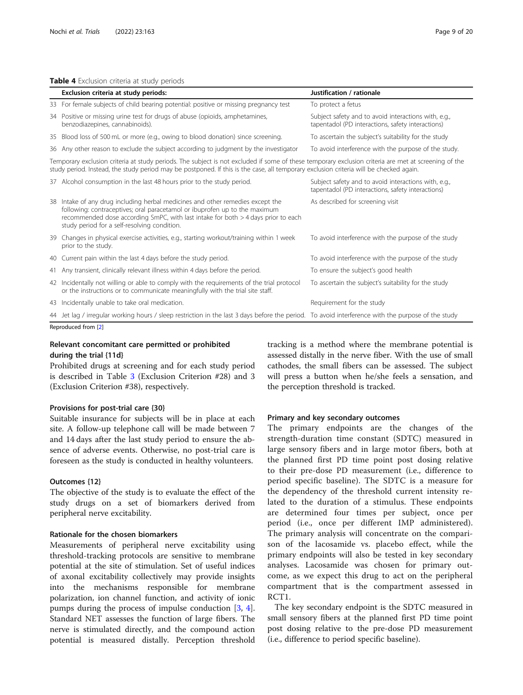#### <span id="page-8-0"></span>Table 4 Exclusion criteria at study periods

|                                                                        | Exclusion criteria at study periods:                                                                                                                                                                                                                                                              | Justification / rationale                                                                                 |  |  |  |  |  |
|------------------------------------------------------------------------|---------------------------------------------------------------------------------------------------------------------------------------------------------------------------------------------------------------------------------------------------------------------------------------------------|-----------------------------------------------------------------------------------------------------------|--|--|--|--|--|
|                                                                        | 33 For female subjects of child bearing potential: positive or missing pregnancy test                                                                                                                                                                                                             | To protect a fetus                                                                                        |  |  |  |  |  |
|                                                                        | 34 Positive or missing urine test for drugs of abuse (opioids, amphetamines,<br>benzodiazepines, cannabinoids).                                                                                                                                                                                   | Subject safety and to avoid interactions with, e.g.,<br>tapentadol (PD interactions, safety interactions) |  |  |  |  |  |
|                                                                        | 35 Blood loss of 500 mL or more (e.g., owing to blood donation) since screening.                                                                                                                                                                                                                  | To ascertain the subject's suitability for the study                                                      |  |  |  |  |  |
|                                                                        | 36 Any other reason to exclude the subject according to judgment by the investigator                                                                                                                                                                                                              | To avoid interference with the purpose of the study.                                                      |  |  |  |  |  |
|                                                                        | Temporary exclusion criteria at study periods. The subject is not excluded if some of these temporary exclusion criteria are met at screening of the<br>study period. Instead, the study period may be postponed. If this is the case, all temporary exclusion criteria will be checked again.    |                                                                                                           |  |  |  |  |  |
| 37 Alcohol consumption in the last 48 hours prior to the study period. |                                                                                                                                                                                                                                                                                                   | Subject safety and to avoid interactions with, e.g.,<br>tapentadol (PD interactions, safety interactions) |  |  |  |  |  |
|                                                                        | 38 Intake of any drug including herbal medicines and other remedies except the<br>following: contraceptives; oral paracetamol or ibuprofen up to the maximum<br>recommended dose according SmPC, with last intake for both > 4 days prior to each<br>study period for a self-resolving condition. | As described for screening visit                                                                          |  |  |  |  |  |
|                                                                        | 39 Changes in physical exercise activities, e.g., starting workout/training within 1 week<br>prior to the study.                                                                                                                                                                                  | To avoid interference with the purpose of the study                                                       |  |  |  |  |  |
|                                                                        | 40 Current pain within the last 4 days before the study period.                                                                                                                                                                                                                                   | To avoid interference with the purpose of the study                                                       |  |  |  |  |  |
|                                                                        | 41 Any transient, clinically relevant illness within 4 days before the period.                                                                                                                                                                                                                    | To ensure the subject's good health                                                                       |  |  |  |  |  |
|                                                                        | 42 Incidentally not willing or able to comply with the requirements of the trial protocol<br>or the instructions or to communicate meaningfully with the trial site staff.                                                                                                                        | To ascertain the subject's suitability for the study                                                      |  |  |  |  |  |
|                                                                        | 43 Incidentally unable to take oral medication.                                                                                                                                                                                                                                                   | Requirement for the study                                                                                 |  |  |  |  |  |
|                                                                        | 44 Jet lag / irregular working hours / sleep restriction in the last 3 days before the period. To avoid interference with the purpose of the study                                                                                                                                                |                                                                                                           |  |  |  |  |  |

Reproduced from [\[2\]](#page-19-0)

# Relevant concomitant care permitted or prohibited during the trial {11d}

Prohibited drugs at screening and for each study period is described in Table [3](#page-6-0) (Exclusion Criterion #28) and 3 (Exclusion Criterion #38), respectively.

#### Provisions for post-trial care {30}

Suitable insurance for subjects will be in place at each site. A follow-up telephone call will be made between 7 and 14 days after the last study period to ensure the absence of adverse events. Otherwise, no post-trial care is foreseen as the study is conducted in healthy volunteers.

#### Outcomes {12}

The objective of the study is to evaluate the effect of the study drugs on a set of biomarkers derived from peripheral nerve excitability.

# Rationale for the chosen biomarkers

Measurements of peripheral nerve excitability using threshold-tracking protocols are sensitive to membrane potential at the site of stimulation. Set of useful indices of axonal excitability collectively may provide insights into the mechanisms responsible for membrane polarization, ion channel function, and activity of ionic pumps during the process of impulse conduction [[3,](#page-19-0) [4](#page-19-0)]. Standard NET assesses the function of large fibers. The nerve is stimulated directly, and the compound action potential is measured distally. Perception threshold

tracking is a method where the membrane potential is assessed distally in the nerve fiber. With the use of small cathodes, the small fibers can be assessed. The subject will press a button when he/she feels a sensation, and the perception threshold is tracked.

#### Primary and key secondary outcomes

The primary endpoints are the changes of the strength-duration time constant (SDTC) measured in large sensory fibers and in large motor fibers, both at the planned first PD time point post dosing relative to their pre-dose PD measurement (i.e., difference to period specific baseline). The SDTC is a measure for the dependency of the threshold current intensity related to the duration of a stimulus. These endpoints are determined four times per subject, once per period (i.e., once per different IMP administered). The primary analysis will concentrate on the comparison of the lacosamide vs. placebo effect, while the primary endpoints will also be tested in key secondary analyses. Lacosamide was chosen for primary outcome, as we expect this drug to act on the peripheral compartment that is the compartment assessed in RCT1.

The key secondary endpoint is the SDTC measured in small sensory fibers at the planned first PD time point post dosing relative to the pre-dose PD measurement (i.e., difference to period specific baseline).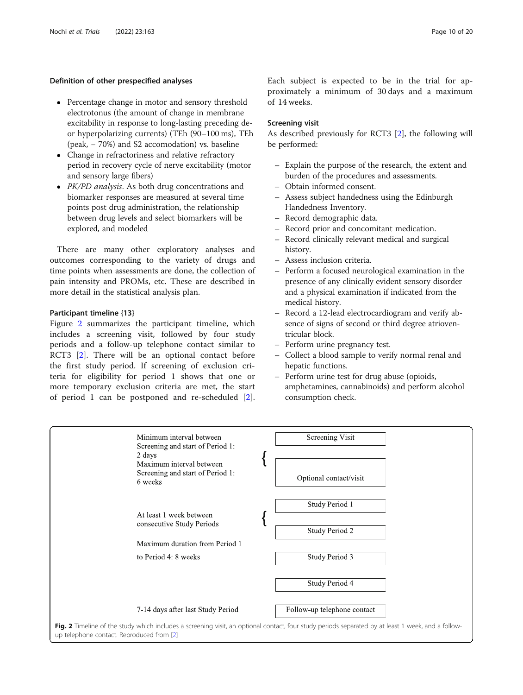# Definition of other prespecified analyses

- Percentage change in motor and sensory threshold electrotonus (the amount of change in membrane excitability in response to long-lasting preceding deor hyperpolarizing currents) (TEh (90–100 ms), TEh (peak, − 70%) and S2 accomodation) vs. baseline
- Change in refractoriness and relative refractory period in recovery cycle of nerve excitability (motor and sensory large fibers)
- PK/PD analysis. As both drug concentrations and biomarker responses are measured at several time points post drug administration, the relationship between drug levels and select biomarkers will be explored, and modeled

There are many other exploratory analyses and outcomes corresponding to the variety of drugs and time points when assessments are done, the collection of pain intensity and PROMs, etc. These are described in more detail in the statistical analysis plan.

#### Participant timeline {13}

Figure 2 summarizes the participant timeline, which includes a screening visit, followed by four study periods and a follow-up telephone contact similar to RCT3 [\[2](#page-19-0)]. There will be an optional contact before the first study period. If screening of exclusion criteria for eligibility for period 1 shows that one or more temporary exclusion criteria are met, the start of period 1 can be postponed and re-scheduled [\[2](#page-19-0)].

# Screening visit

As described previously for RCT3 [[2](#page-19-0)], the following will be performed:

- Explain the purpose of the research, the extent and burden of the procedures and assessments.
- Obtain informed consent.
- Assess subject handedness using the Edinburgh Handedness Inventory.
- Record demographic data.
- Record prior and concomitant medication.
- Record clinically relevant medical and surgical history.
- Assess inclusion criteria.
- Perform a focused neurological examination in the presence of any clinically evident sensory disorder and a physical examination if indicated from the medical history.
- Record a 12-lead electrocardiogram and verify absence of signs of second or third degree atrioventricular block.
- Perform urine pregnancy test.
- Collect a blood sample to verify normal renal and hepatic functions.
- Perform urine test for drug abuse (opioids, amphetamines, cannabinoids) and perform alcohol consumption check.

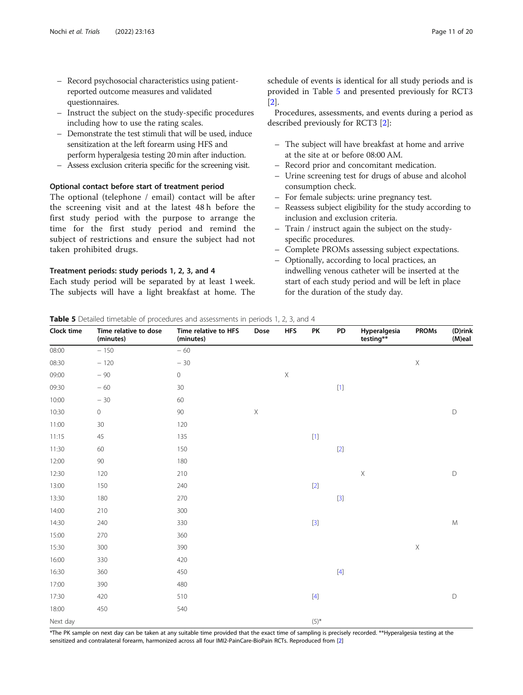- <span id="page-10-0"></span>– Record psychosocial characteristics using patientreported outcome measures and validated questionnaires.
- Instruct the subject on the study-specific procedures including how to use the rating scales.
- Demonstrate the test stimuli that will be used, induce sensitization at the left forearm using HFS and perform hyperalgesia testing 20 min after induction.
- Assess exclusion criteria specific for the screening visit.

# Optional contact before start of treatment period

The optional (telephone / email) contact will be after the screening visit and at the latest 48 h before the first study period with the purpose to arrange the time for the first study period and remind the subject of restrictions and ensure the subject had not taken prohibited drugs.

# Treatment periods: study periods 1, 2, 3, and 4

Each study period will be separated by at least 1 week. The subjects will have a light breakfast at home. The schedule of events is identical for all study periods and is provided in Table 5 and presented previously for RCT3 [[2\]](#page-19-0).

Procedures, assessments, and events during a period as described previously for RCT3 [[2\]](#page-19-0):

- The subject will have breakfast at home and arrive at the site at or before 08:00 AM.
- Record prior and concomitant medication.
- Urine screening test for drugs of abuse and alcohol consumption check.
- For female subjects: urine pregnancy test.
- Reassess subject eligibility for the study according to inclusion and exclusion criteria.
- Train / instruct again the subject on the studyspecific procedures.
- Complete PROMs assessing subject expectations.
- Optionally, according to local practices, an indwelling venous catheter will be inserted at the start of each study period and will be left in place for the duration of the study day.

| Clock time | Time relative to dose<br>(minutes) | Time relative to HFS<br>(minutes) | Dose        | <b>HFS</b>  | PK        | PD                                                                                                                                                                                    | Hyperalgesia<br>testing** | <b>PROMs</b> | (D)rink<br>(M)eal |
|------------|------------------------------------|-----------------------------------|-------------|-------------|-----------|---------------------------------------------------------------------------------------------------------------------------------------------------------------------------------------|---------------------------|--------------|-------------------|
| 08:00      | $-150$                             | $-60$                             |             |             |           |                                                                                                                                                                                       |                           |              |                   |
| 08:30      | $-120$                             | $-30$                             |             |             |           |                                                                                                                                                                                       |                           | $\mathsf X$  |                   |
| 09:00      | $-90$                              | $\mathsf{O}\xspace$               |             | $\mathsf X$ |           |                                                                                                                                                                                       |                           |              |                   |
| 09:30      | $-60$                              | 30                                |             |             |           |                                                                                                                                                                                       |                           |              |                   |
| 10:00      | $-30$                              | 60                                |             |             |           |                                                                                                                                                                                       |                           |              |                   |
| 10:30      | $\mathsf{O}\xspace$                | 90                                | $\mathsf X$ |             |           |                                                                                                                                                                                       |                           |              | $\mathsf D$       |
| 11:00      | 30                                 | 120                               |             |             |           |                                                                                                                                                                                       |                           |              |                   |
| 11:15      | 45                                 | 135                               |             |             |           |                                                                                                                                                                                       |                           |              |                   |
| 11:30      | 60                                 | 150                               |             |             |           | $[2]$                                                                                                                                                                                 |                           |              |                   |
| 12:00      | $90\,$                             | 180                               |             |             |           |                                                                                                                                                                                       |                           |              |                   |
| 12:30      | 120                                | 210                               |             |             |           |                                                                                                                                                                                       | $\mathsf X$               |              | $\mathsf D$       |
| 13:00      | 150                                | 240                               |             |             | $[2]$     |                                                                                                                                                                                       |                           |              |                   |
| 13:30      | 180                                | 270                               |             |             |           | $[3]$                                                                                                                                                                                 |                           |              |                   |
| 14:00      | 210                                | 300                               |             |             |           |                                                                                                                                                                                       |                           |              |                   |
| 14:30      | 240                                | 330                               |             |             | $[3]$     |                                                                                                                                                                                       |                           |              | ${\sf M}$         |
| 15:00      | 270                                | 360                               |             |             |           |                                                                                                                                                                                       |                           |              |                   |
| 15:30      | 300                                | 390                               |             |             |           |                                                                                                                                                                                       |                           | $\mathsf X$  |                   |
| 16:00      | 330                                | 420                               |             |             |           |                                                                                                                                                                                       |                           |              |                   |
| 16:30      | 360                                | 450                               |             |             |           | $[4] % \begin{center} \includegraphics[width=\linewidth]{imagesSupplemental/Imit} \caption{The image shows the image shows a single number of times.} \label{fig:limal} \end{center}$ |                           |              |                   |
| 17:00      | 390                                | 480                               |             |             |           |                                                                                                                                                                                       |                           |              |                   |
| 17:30      | 420                                | 510                               |             |             | $[4]$     |                                                                                                                                                                                       |                           |              | $\mathsf D$       |
| 18:00      | 450                                | 540                               |             |             |           |                                                                                                                                                                                       |                           |              |                   |
| Next day   |                                    |                                   |             |             | $(5)^{*}$ |                                                                                                                                                                                       |                           |              |                   |

\*The PK sample on next day can be taken at any suitable time provided that the exact time of sampling is precisely recorded. \*\*Hyperalgesia testing at the sensitized and contralateral forearm, harmonized across all four IMI2-PainCare-BioPain RCTs. Reproduced from [[2](#page-19-0)]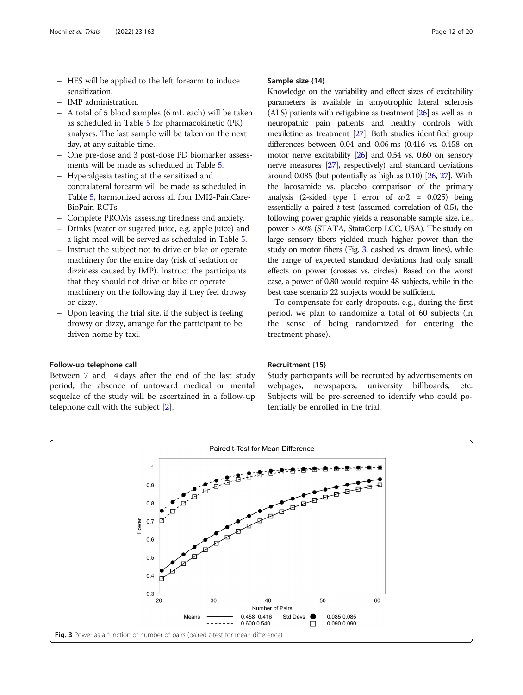- HFS will be applied to the left forearm to induce sensitization.
- IMP administration.
- A total of 5 blood samples (6 mL each) will be taken as scheduled in Table [5](#page-10-0) for pharmacokinetic (PK) analyses. The last sample will be taken on the next day, at any suitable time.
- One pre-dose and 3 post-dose PD biomarker assessments will be made as scheduled in Table [5.](#page-10-0)
- Hyperalgesia testing at the sensitized and contralateral forearm will be made as scheduled in Table [5,](#page-10-0) harmonized across all four IMI2-PainCare-BioPain-RCTs.
- Complete PROMs assessing tiredness and anxiety.
- Drinks (water or sugared juice, e.g. apple juice) and a light meal will be served as scheduled in Table [5](#page-10-0).
- Instruct the subject not to drive or bike or operate machinery for the entire day (risk of sedation or dizziness caused by IMP). Instruct the participants that they should not drive or bike or operate machinery on the following day if they feel drowsy or dizzy.
- Upon leaving the trial site, if the subject is feeling drowsy or dizzy, arrange for the participant to be driven home by taxi.

#### Follow-up telephone call

Between 7 and 14 days after the end of the last study period, the absence of untoward medical or mental sequelae of the study will be ascertained in a follow-up telephone call with the subject [[2\]](#page-19-0).

#### Sample size {14}

Knowledge on the variability and effect sizes of excitability parameters is available in amyotrophic lateral sclerosis (ALS) patients with retigabine as treatment [\[26](#page-19-0)] as well as in neuropathic pain patients and healthy controls with mexiletine as treatment [\[27](#page-19-0)]. Both studies identified group differences between 0.04 and 0.06 ms (0.416 vs. 0.458 on motor nerve excitability [\[26\]](#page-19-0) and 0.54 vs. 0.60 on sensory nerve measures [\[27\]](#page-19-0), respectively) and standard deviations around 0.085 (but potentially as high as 0.10) [\[26](#page-19-0), [27\]](#page-19-0). With the lacosamide vs. placebo comparison of the primary analysis (2-sided type I error of  $\alpha/2$  = 0.025) being essentially a paired  $t$ -test (assumed correlation of 0.5), the following power graphic yields a reasonable sample size, i.e., power > 80% (STATA, StataCorp LCC, USA). The study on large sensory fibers yielded much higher power than the study on motor fibers (Fig. 3, dashed vs. drawn lines), while the range of expected standard deviations had only small effects on power (crosses vs. circles). Based on the worst case, a power of 0.80 would require 48 subjects, while in the best case scenario 22 subjects would be sufficient.

To compensate for early dropouts, e.g., during the first period, we plan to randomize a total of 60 subjects (in the sense of being randomized for entering the treatment phase).

#### Recruitment {15}

Study participants will be recruited by advertisements on webpages, newspapers, university billboards, etc. Subjects will be pre-screened to identify who could potentially be enrolled in the trial.

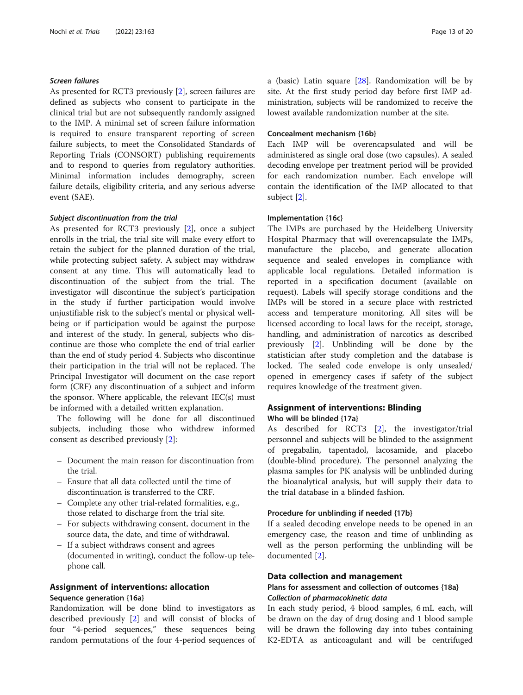# Screen failures

As presented for RCT3 previously [[2\]](#page-19-0), screen failures are defined as subjects who consent to participate in the clinical trial but are not subsequently randomly assigned to the IMP. A minimal set of screen failure information is required to ensure transparent reporting of screen failure subjects, to meet the Consolidated Standards of Reporting Trials (CONSORT) publishing requirements and to respond to queries from regulatory authorities. Minimal information includes demography, screen failure details, eligibility criteria, and any serious adverse event (SAE).

#### Subject discontinuation from the trial

As presented for RCT3 previously [[2\]](#page-19-0), once a subject enrolls in the trial, the trial site will make every effort to retain the subject for the planned duration of the trial, while protecting subject safety. A subject may withdraw consent at any time. This will automatically lead to discontinuation of the subject from the trial. The investigator will discontinue the subject's participation in the study if further participation would involve unjustifiable risk to the subject's mental or physical wellbeing or if participation would be against the purpose and interest of the study. In general, subjects who discontinue are those who complete the end of trial earlier than the end of study period 4. Subjects who discontinue their participation in the trial will not be replaced. The Principal Investigator will document on the case report form (CRF) any discontinuation of a subject and inform the sponsor. Where applicable, the relevant IEC(s) must be informed with a detailed written explanation.

The following will be done for all discontinued subjects, including those who withdrew informed consent as described previously [[2\]](#page-19-0):

- Document the main reason for discontinuation from the trial.
- Ensure that all data collected until the time of discontinuation is transferred to the CRF.
- Complete any other trial-related formalities, e.g., those related to discharge from the trial site.
- For subjects withdrawing consent, document in the source data, the date, and time of withdrawal.
- If a subject withdraws consent and agrees (documented in writing), conduct the follow-up telephone call.

# Assignment of interventions: allocation Sequence generation {16a}

Randomization will be done blind to investigators as described previously [[2\]](#page-19-0) and will consist of blocks of four "4-period sequences," these sequences being random permutations of the four 4-period sequences of a (basic) Latin square [\[28](#page-19-0)]. Randomization will be by site. At the first study period day before first IMP administration, subjects will be randomized to receive the lowest available randomization number at the site.

# Concealment mechanism {16b}

Each IMP will be overencapsulated and will be administered as single oral dose (two capsules). A sealed decoding envelope per treatment period will be provided for each randomization number. Each envelope will contain the identification of the IMP allocated to that subject [\[2](#page-19-0)].

#### Implementation {16c}

The IMPs are purchased by the Heidelberg University Hospital Pharmacy that will overencapsulate the IMPs, manufacture the placebo, and generate allocation sequence and sealed envelopes in compliance with applicable local regulations. Detailed information is reported in a specification document (available on request). Labels will specify storage conditions and the IMPs will be stored in a secure place with restricted access and temperature monitoring. All sites will be licensed according to local laws for the receipt, storage, handling, and administration of narcotics as described previously [[2\]](#page-19-0). Unblinding will be done by the statistician after study completion and the database is locked. The sealed code envelope is only unsealed/ opened in emergency cases if safety of the subject requires knowledge of the treatment given.

# Assignment of interventions: Blinding Who will be blinded {17a}

As described for RCT3 [[2\]](#page-19-0), the investigator/trial personnel and subjects will be blinded to the assignment of pregabalin, tapentadol, lacosamide, and placebo (double-blind procedure). The personnel analyzing the plasma samples for PK analysis will be unblinded during the bioanalytical analysis, but will supply their data to the trial database in a blinded fashion.

# Procedure for unblinding if needed {17b}

If a sealed decoding envelope needs to be opened in an emergency case, the reason and time of unblinding as well as the person performing the unblinding will be documented [[2\]](#page-19-0).

#### Data collection and management

# Plans for assessment and collection of outcomes {18a} Collection of pharmacokinetic data

In each study period, 4 blood samples, 6 mL each, will be drawn on the day of drug dosing and 1 blood sample will be drawn the following day into tubes containing K2-EDTA as anticoagulant and will be centrifuged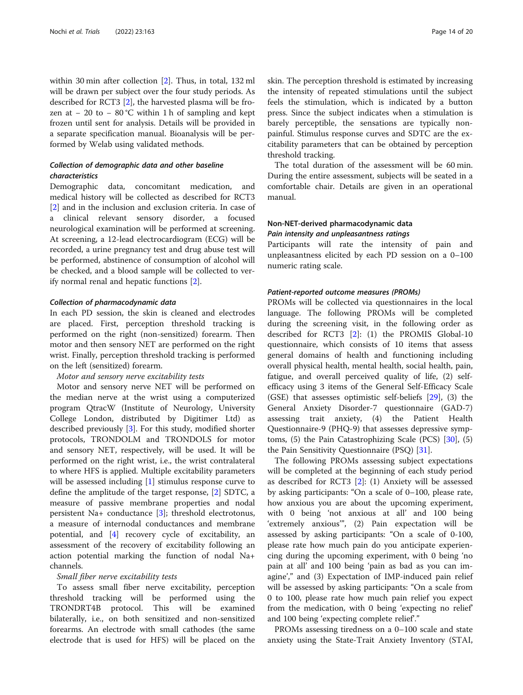within 30 min after collection [[2](#page-19-0)]. Thus, in total, 132 ml will be drawn per subject over the four study periods. As described for RCT3 [\[2](#page-19-0)], the harvested plasma will be frozen at − 20 to − 80 °C within 1 h of sampling and kept frozen until sent for analysis. Details will be provided in a separate specification manual. Bioanalysis will be performed by Welab using validated methods.

# Collection of demographic data and other baseline characteristics

Demographic data, concomitant medication, and medical history will be collected as described for RCT3 [[2\]](#page-19-0) and in the inclusion and exclusion criteria. In case of a clinical relevant sensory disorder, a focused neurological examination will be performed at screening. At screening, a 12-lead electrocardiogram (ECG) will be recorded, a urine pregnancy test and drug abuse test will be performed, abstinence of consumption of alcohol will be checked, and a blood sample will be collected to verify normal renal and hepatic functions [[2\]](#page-19-0).

#### Collection of pharmacodynamic data

In each PD session, the skin is cleaned and electrodes are placed. First, perception threshold tracking is performed on the right (non-sensitized) forearm. Then motor and then sensory NET are performed on the right wrist. Finally, perception threshold tracking is performed on the left (sensitized) forearm.

#### Motor and sensory nerve excitability tests

Motor and sensory nerve NET will be performed on the median nerve at the wrist using a computerized program QtracW (Institute of Neurology, University College London, distributed by Digitimer Ltd) as described previously [\[3](#page-19-0)]. For this study, modified shorter protocols, TRONDOLM and TRONDOLS for motor and sensory NET, respectively, will be used. It will be performed on the right wrist, i.e., the wrist contralateral to where HFS is applied. Multiple excitability parameters will be assessed including [\[1](#page-19-0)] stimulus response curve to define the amplitude of the target response, [[2\]](#page-19-0) SDTC, a measure of passive membrane properties and nodal persistent Na+ conductance [[3\]](#page-19-0); threshold electrotonus, a measure of internodal conductances and membrane potential, and [[4](#page-19-0)] recovery cycle of excitability, an assessment of the recovery of excitability following an action potential marking the function of nodal Na+ channels.

#### Small fiber nerve excitability tests

To assess small fiber nerve excitability, perception threshold tracking will be performed using the TRONDRT4B protocol. This will be examined bilaterally, i.e., on both sensitized and non-sensitized forearms. An electrode with small cathodes (the same electrode that is used for HFS) will be placed on the skin. The perception threshold is estimated by increasing the intensity of repeated stimulations until the subject feels the stimulation, which is indicated by a button press. Since the subject indicates when a stimulation is barely perceptible, the sensations are typically nonpainful. Stimulus response curves and SDTC are the excitability parameters that can be obtained by perception threshold tracking.

The total duration of the assessment will be 60 min. During the entire assessment, subjects will be seated in a comfortable chair. Details are given in an operational manual.

# Non-NET-derived pharmacodynamic data Pain intensity and unpleasantness ratings

Participants will rate the intensity of pain and unpleasantness elicited by each PD session on a 0–100 numeric rating scale.

#### Patient-reported outcome measures (PROMs)

PROMs will be collected via questionnaires in the local language. The following PROMs will be completed during the screening visit, in the following order as described for RCT3 [[2\]](#page-19-0): (1) the PROMIS Global-10 questionnaire, which consists of 10 items that assess general domains of health and functioning including overall physical health, mental health, social health, pain, fatigue, and overall perceived quality of life, (2) selfefficacy using 3 items of the General Self-Efficacy Scale (GSE) that assesses optimistic self-beliefs [\[29\]](#page-19-0), (3) the General Anxiety Disorder-7 questionnaire (GAD-7) assessing trait anxiety, (4) the Patient Health Questionnaire-9 (PHQ-9) that assesses depressive symptoms,  $(5)$  the Pain Catastrophizing Scale (PCS)  $[30]$  $[30]$ ,  $(5)$ the Pain Sensitivity Questionnaire (PSQ) [\[31](#page-19-0)].

The following PROMs assessing subject expectations will be completed at the beginning of each study period as described for RCT3 [\[2](#page-19-0)]: (1) Anxiety will be assessed by asking participants: "On a scale of 0–100, please rate, how anxious you are about the upcoming experiment, with 0 being 'not anxious at all' and 100 being 'extremely anxious'", (2) Pain expectation will be assessed by asking participants: "On a scale of 0-100, please rate how much pain do you anticipate experiencing during the upcoming experiment, with 0 being 'no pain at all' and 100 being 'pain as bad as you can imagine'," and (3) Expectation of IMP-induced pain relief will be assessed by asking participants: "On a scale from 0 to 100, please rate how much pain relief you expect from the medication, with 0 being 'expecting no relief' and 100 being 'expecting complete relief'."

PROMs assessing tiredness on a 0–100 scale and state anxiety using the State-Trait Anxiety Inventory (STAI,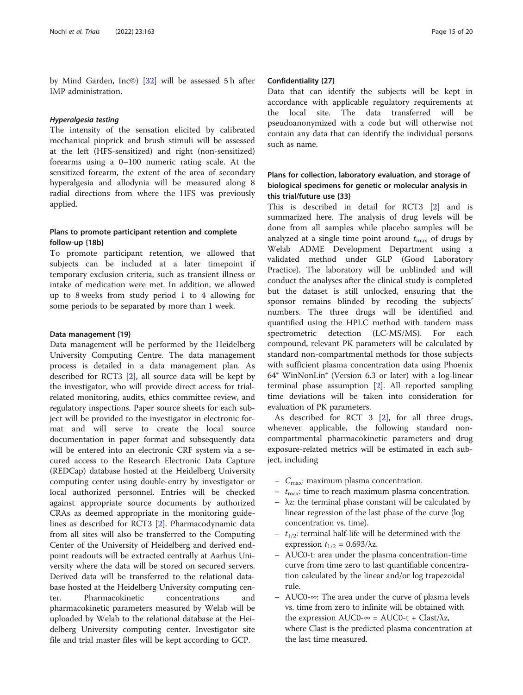by Mind Garden, Inc©) [[32\]](#page-19-0) will be assessed 5 h after IMP administration.

#### Hyperalgesia testing

The intensity of the sensation elicited by calibrated mechanical pinprick and brush stimuli will be assessed at the left (HFS-sensitized) and right (non-sensitized) forearms using a 0–100 numeric rating scale. At the sensitized forearm, the extent of the area of secondary hyperalgesia and allodynia will be measured along 8 radial directions from where the HFS was previously applied.

# Plans to promote participant retention and complete follow-up {18b}

To promote participant retention, we allowed that subjects can be included at a later timepoint if temporary exclusion criteria, such as transient illness or intake of medication were met. In addition, we allowed up to 8 weeks from study period 1 to 4 allowing for some periods to be separated by more than 1 week.

#### Data management {19}

Data management will be performed by the Heidelberg University Computing Centre. The data management process is detailed in a data management plan. As described for RCT3 [[2\]](#page-19-0), all source data will be kept by the investigator, who will provide direct access for trialrelated monitoring, audits, ethics committee review, and regulatory inspections. Paper source sheets for each subject will be provided to the investigator in electronic format and will serve to create the local source documentation in paper format and subsequently data will be entered into an electronic CRF system via a secured access to the Research Electronic Data Capture (REDCap) database hosted at the Heidelberg University computing center using double-entry by investigator or local authorized personnel. Entries will be checked against appropriate source documents by authorized CRAs as deemed appropriate in the monitoring guidelines as described for RCT3 [\[2\]](#page-19-0). Pharmacodynamic data from all sites will also be transferred to the Computing Center of the University of Heidelberg and derived endpoint readouts will be extracted centrally at Aarhus University where the data will be stored on secured servers. Derived data will be transferred to the relational database hosted at the Heidelberg University computing center. Pharmacokinetic concentrations and pharmacokinetic parameters measured by Welab will be uploaded by Welab to the relational database at the Heidelberg University computing center. Investigator site file and trial master files will be kept according to GCP.

#### Confidentiality {27}

Data that can identify the subjects will be kept in accordance with applicable regulatory requirements at the local site. The data transferred will be pseudoanonymized with a code but will otherwise not contain any data that can identify the individual persons such as name.

# Plans for collection, laboratory evaluation, and storage of biological specimens for genetic or molecular analysis in this trial/future use {33}

This is described in detail for RCT3 [\[2](#page-19-0)] and is summarized here. The analysis of drug levels will be done from all samples while placebo samples will be analyzed at a single time point around  $t_{\text{max}}$  of drugs by Welab ADME Development Department using a validated method under GLP (Good Laboratory Practice). The laboratory will be unblinded and will conduct the analyses after the clinical study is completed but the dataset is still unlocked, ensuring that the sponsor remains blinded by recoding the subjects' numbers. The three drugs will be identified and quantified using the HPLC method with tandem mass spectrometric detection (LC-MS/MS). For each compound, relevant PK parameters will be calculated by standard non-compartmental methods for those subjects with sufficient plasma concentration data using Phoenix 64® WinNonLin® (Version 6.3 or later) with a log-linear terminal phase assumption [\[2](#page-19-0)]. All reported sampling time deviations will be taken into consideration for evaluation of PK parameters.

As described for RCT 3 [[2\]](#page-19-0), for all three drugs, whenever applicable, the following standard noncompartmental pharmacokinetic parameters and drug exposure-related metrics will be estimated in each subject, including

- $C_{\text{max}}$ : maximum plasma concentration.
- $t_{\text{max}}$ : time to reach maximum plasma concentration.
- λz: the terminal phase constant will be calculated by linear regression of the last phase of the curve (log concentration vs. time).
- $t_{1/2}$ : terminal half-life will be determined with the expression  $t_{1/2} = 0.693/\lambda z$ .
- AUC0-t: area under the plasma concentration-time curve from time zero to last quantifiable concentration calculated by the linear and/or log trapezoidal rule.
- AUC0-∞: The area under the curve of plasma levels vs. time from zero to infinite will be obtained with the expression AUC0- $\infty$  = AUC0-t + Clast/ $\lambda z$ , where Clast is the predicted plasma concentration at the last time measured.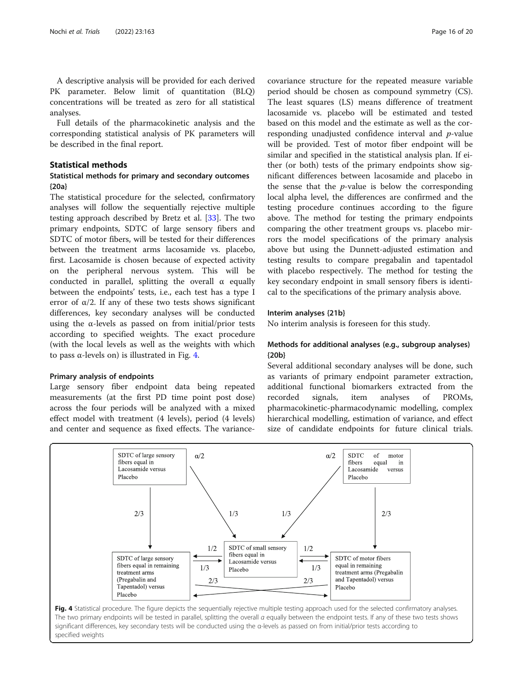A descriptive analysis will be provided for each derived PK parameter. Below limit of quantitation (BLQ) concentrations will be treated as zero for all statistical analyses.

Full details of the pharmacokinetic analysis and the corresponding statistical analysis of PK parameters will be described in the final report.

# Statistical methods

# Statistical methods for primary and secondary outcomes {20a}

The statistical procedure for the selected, confirmatory analyses will follow the sequentially rejective multiple testing approach described by Bretz et al. [[33\]](#page-19-0). The two primary endpoints, SDTC of large sensory fibers and SDTC of motor fibers, will be tested for their differences between the treatment arms lacosamide vs. placebo, first. Lacosamide is chosen because of expected activity on the peripheral nervous system. This will be conducted in parallel, splitting the overall  $\alpha$  equally between the endpoints' tests, i.e., each test has a type I error of  $\alpha/2$ . If any of these two tests shows significant differences, key secondary analyses will be conducted using the  $\alpha$ -levels as passed on from initial/prior tests according to specified weights. The exact procedure (with the local levels as well as the weights with which to pass α-levels on) is illustrated in Fig. 4.

#### Primary analysis of endpoints

Large sensory fiber endpoint data being repeated measurements (at the first PD time point post dose) across the four periods will be analyzed with a mixed effect model with treatment (4 levels), period (4 levels) and center and sequence as fixed effects. The variance-

covariance structure for the repeated measure variable period should be chosen as compound symmetry (CS). The least squares (LS) means difference of treatment lacosamide vs. placebo will be estimated and tested based on this model and the estimate as well as the corresponding unadjusted confidence interval and *p*-value will be provided. Test of motor fiber endpoint will be similar and specified in the statistical analysis plan. If either (or both) tests of the primary endpoints show significant differences between lacosamide and placebo in the sense that the  $p$ -value is below the corresponding local alpha level, the differences are confirmed and the testing procedure continues according to the figure above. The method for testing the primary endpoints comparing the other treatment groups vs. placebo mirrors the model specifications of the primary analysis above but using the Dunnett-adjusted estimation and testing results to compare pregabalin and tapentadol with placebo respectively. The method for testing the key secondary endpoint in small sensory fibers is identical to the specifications of the primary analysis above.

#### Interim analyses {21b}

No interim analysis is foreseen for this study.

# Methods for additional analyses (e.g., subgroup analyses) {20b}

Several additional secondary analyses will be done, such as variants of primary endpoint parameter extraction, additional functional biomarkers extracted from the recorded signals, item analyses of PROMs, pharmacokinetic-pharmacodynamic modelling, complex hierarchical modelling, estimation of variance, and effect size of candidate endpoints for future clinical trials.



significant differences, key secondary tests will be conducted using the α-levels as passed on from initial/prior tests according to specified weights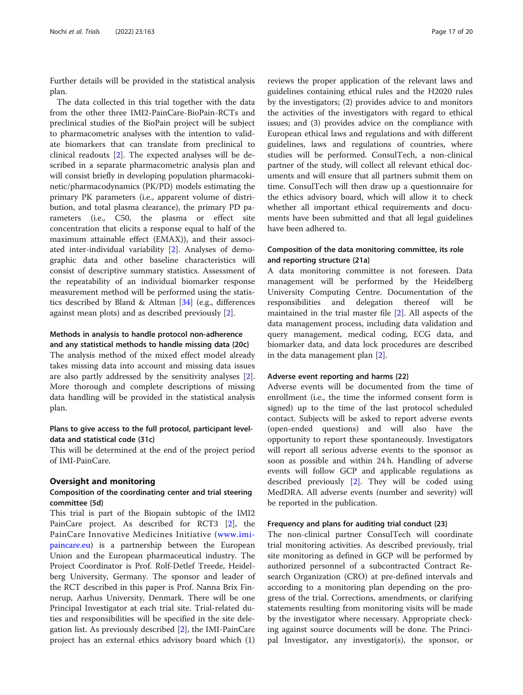Further details will be provided in the statistical analysis plan.

The data collected in this trial together with the data from the other three IMI2-PainCare-BioPain-RCTs and preclinical studies of the BioPain project will be subject to pharmacometric analyses with the intention to validate biomarkers that can translate from preclinical to clinical readouts [\[2](#page-19-0)]. The expected analyses will be described in a separate pharmacometric analysis plan and will consist briefly in developing population pharmacokinetic/pharmacodynamics (PK/PD) models estimating the primary PK parameters (i.e., apparent volume of distribution, and total plasma clearance), the primary PD parameters (i.e., C50, the plasma or effect site concentration that elicits a response equal to half of the maximum attainable effect (EMAX)), and their associated inter-individual variability [\[2](#page-19-0)]. Analyses of demographic data and other baseline characteristics will consist of descriptive summary statistics. Assessment of the repeatability of an individual biomarker response measurement method will be performed using the statistics described by Bland & Altman [[34\]](#page-19-0) (e.g., differences against mean plots) and as described previously [[2\]](#page-19-0).

# Methods in analysis to handle protocol non-adherence

and any statistical methods to handle missing data {20c} The analysis method of the mixed effect model already takes missing data into account and missing data issues are also partly addressed by the sensitivity analyses [\[2](#page-19-0)]. More thorough and complete descriptions of missing data handling will be provided in the statistical analysis plan.

# Plans to give access to the full protocol, participant leveldata and statistical code {31c}

This will be determined at the end of the project period of IMI-PainCare.

## Oversight and monitoring

# Composition of the coordinating center and trial steering committee {5d}

This trial is part of the Biopain subtopic of the IMI2 PainCare project. As described for RCT3 [[2\]](#page-19-0), the PainCare Innovative Medicines Initiative ([www.imi](http://www.imi-paincare.eu/)[paincare.eu](http://www.imi-paincare.eu/)) is a partnership between the European Union and the European pharmaceutical industry. The Project Coordinator is Prof. Rolf-Detlef Treede, Heidelberg University, Germany. The sponsor and leader of the RCT described in this paper is Prof. Nanna Brix Finnerup, Aarhus University, Denmark. There will be one Principal Investigator at each trial site. Trial-related duties and responsibilities will be specified in the site delegation list. As previously described [\[2](#page-19-0)], the IMI-PainCare project has an external ethics advisory board which (1)

reviews the proper application of the relevant laws and guidelines containing ethical rules and the H2020 rules by the investigators; (2) provides advice to and monitors the activities of the investigators with regard to ethical issues; and (3) provides advice on the compliance with European ethical laws and regulations and with different guidelines, laws and regulations of countries, where studies will be performed. ConsulTech, a non-clinical partner of the study, will collect all relevant ethical documents and will ensure that all partners submit them on time. ConsulTech will then draw up a questionnaire for the ethics advisory board, which will allow it to check whether all important ethical requirements and documents have been submitted and that all legal guidelines have been adhered to.

# Composition of the data monitoring committee, its role and reporting structure {21a}

A data monitoring committee is not foreseen. Data management will be performed by the Heidelberg University Computing Centre. Documentation of the responsibilities and delegation thereof will be maintained in the trial master file [\[2](#page-19-0)]. All aspects of the data management process, including data validation and query management, medical coding, ECG data, and biomarker data, and data lock procedures are described in the data management plan [[2\]](#page-19-0).

#### Adverse event reporting and harms {22}

Adverse events will be documented from the time of enrollment (i.e., the time the informed consent form is signed) up to the time of the last protocol scheduled contact. Subjects will be asked to report adverse events (open-ended questions) and will also have the opportunity to report these spontaneously. Investigators will report all serious adverse events to the sponsor as soon as possible and within 24 h. Handling of adverse events will follow GCP and applicable regulations as described previously [\[2](#page-19-0)]. They will be coded using MedDRA. All adverse events (number and severity) will be reported in the publication.

#### Frequency and plans for auditing trial conduct {23}

The non-clinical partner ConsulTech will coordinate trial monitoring activities. As described previously, trial site monitoring as defined in GCP will be performed by authorized personnel of a subcontracted Contract Research Organization (CRO) at pre-defined intervals and according to a monitoring plan depending on the progress of the trial. Corrections, amendments, or clarifying statements resulting from monitoring visits will be made by the investigator where necessary. Appropriate checking against source documents will be done. The Principal Investigator, any investigator(s), the sponsor, or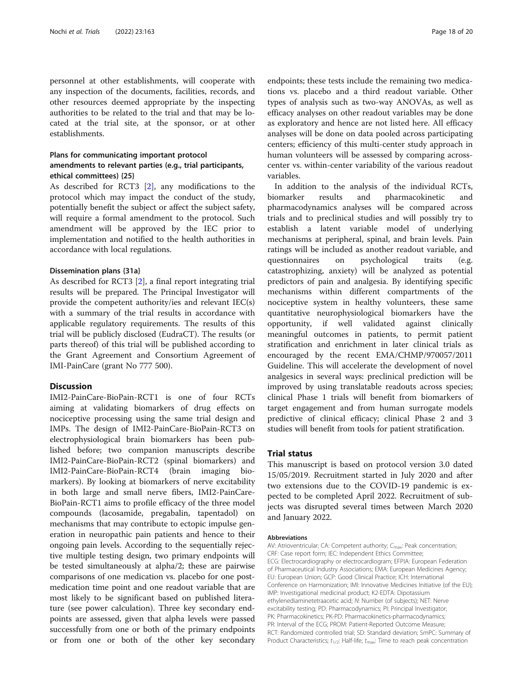personnel at other establishments, will cooperate with any inspection of the documents, facilities, records, and other resources deemed appropriate by the inspecting authorities to be related to the trial and that may be located at the trial site, at the sponsor, or at other establishments.

# Plans for communicating important protocol amendments to relevant parties (e.g., trial participants, ethical committees) {25}

As described for RCT3 [\[2](#page-19-0)], any modifications to the protocol which may impact the conduct of the study, potentially benefit the subject or affect the subject safety, will require a formal amendment to the protocol. Such amendment will be approved by the IEC prior to implementation and notified to the health authorities in accordance with local regulations.

#### Dissemination plans {31a}

As described for RCT3 [\[2](#page-19-0)], a final report integrating trial results will be prepared. The Principal Investigator will provide the competent authority/ies and relevant IEC(s) with a summary of the trial results in accordance with applicable regulatory requirements. The results of this trial will be publicly disclosed (EudraCT). The results (or parts thereof) of this trial will be published according to the Grant Agreement and Consortium Agreement of IMI-PainCare (grant No 777 500).

#### **Discussion**

IMI2-PainCare-BioPain-RCT1 is one of four RCTs aiming at validating biomarkers of drug effects on nociceptive processing using the same trial design and IMPs. The design of IMI2-PainCare-BioPain-RCT3 on electrophysiological brain biomarkers has been published before; two companion manuscripts describe IMI2-PainCare-BioPain-RCT2 (spinal biomarkers) and IMI2-PainCare-BioPain-RCT4 (brain imaging biomarkers). By looking at biomarkers of nerve excitability in both large and small nerve fibers, IMI2-PainCare-BioPain-RCT1 aims to profile efficacy of the three model compounds (lacosamide, pregabalin, tapentadol) on mechanisms that may contribute to ectopic impulse generation in neuropathic pain patients and hence to their ongoing pain levels. According to the sequentially rejective multiple testing design, two primary endpoints will be tested simultaneously at alpha/2; these are pairwise comparisons of one medication vs. placebo for one postmedication time point and one readout variable that are most likely to be significant based on published literature (see power calculation). Three key secondary endpoints are assessed, given that alpha levels were passed successfully from one or both of the primary endpoints or from one or both of the other key secondary

endpoints; these tests include the remaining two medications vs. placebo and a third readout variable. Other types of analysis such as two-way ANOVAs, as well as efficacy analyses on other readout variables may be done as exploratory and hence are not listed here. All efficacy analyses will be done on data pooled across participating centers; efficiency of this multi-center study approach in human volunteers will be assessed by comparing acrosscenter vs. within-center variability of the various readout variables.

In addition to the analysis of the individual RCTs, biomarker results and pharmacokinetic and pharmacodynamics analyses will be compared across trials and to preclinical studies and will possibly try to establish a latent variable model of underlying mechanisms at peripheral, spinal, and brain levels. Pain ratings will be included as another readout variable, and questionnaires on psychological traits (e.g. catastrophizing, anxiety) will be analyzed as potential predictors of pain and analgesia. By identifying specific mechanisms within different compartments of the nociceptive system in healthy volunteers, these same quantitative neurophysiological biomarkers have the opportunity, if well validated against clinically meaningful outcomes in patients, to permit patient stratification and enrichment in later clinical trials as encouraged by the recent EMA/CHMP/970057/2011 Guideline. This will accelerate the development of novel analgesics in several ways: preclinical prediction will be improved by using translatable readouts across species; clinical Phase 1 trials will benefit from biomarkers of target engagement and from human surrogate models predictive of clinical efficacy; clinical Phase 2 and 3 studies will benefit from tools for patient stratification.

#### Trial status

This manuscript is based on protocol version 3.0 dated 15/05/2019. Recruitment started in July 2020 and after two extensions due to the COVID-19 pandemic is expected to be completed April 2022. Recruitment of subjects was disrupted several times between March 2020 and January 2022.

#### Abbreviations

AV: Atrioventricular; CA: Competent authority; C<sub>max</sub>: Peak concentration; CRF: Case report form; IEC: Independent Ethics Committee; ECG: Electrocardiography or electrocardiogram; EFPIA: European Federation of Pharmaceutical Industry Associations; EMA: European Medicines Agency; EU: European Union; GCP: Good Clinical Practice; ICH: International Conference on Harmonization; IMI: Innovative Medicines Initiative (of the EU); IMP: Investigational medicinal product; K2-EDTA: Dipotassium ethylenediaminetetraacetic acid; N: Number (of subjects); NET: Nerve excitability testing; PD: Pharmacodynamics; PI: Principal Investigator; PK: Pharmacokinetics; PK-PD: Pharmacokinetics-pharmacodynamics; PR: Interval of the ECG; PROM: Patient-Reported Outcome Measure; RCT: Randomized controlled trial; SD: Standard deviation; SmPC: Summary of Product Characteristics;  $t_{1/2}$ : Half-life;  $t_{\text{max}}$ . Time to reach peak concentration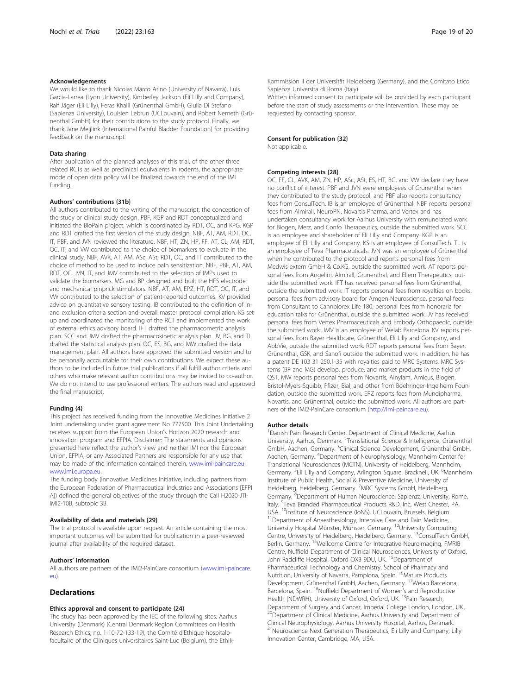#### Acknowledgements

We would like to thank Nicolas Marco Arino (University of Navarra), Luis Garcia-Larrea (Lyon University), Kimberley Jackson (Eli Lilly and Company), Ralf Jäger (Eli Lilly), Feras Khalil (Grünenthal GmbH), Giulia Di Stefano (Sapienza University), Louisien Lebrun (UCLouvain), and Robert Nemeth (Grünenthal GmbH) for their contributions to the study protocol. Finally, we thank Jane Meijlink (International Painful Bladder Foundation) for providing feedback on the manuscript.

#### Data sharing

After publication of the planned analyses of this trial, of the other three related RCTs as well as preclinical equivalents in rodents, the appropriate mode of open data policy will be finalized towards the end of the IMI funding.

#### Authors' contributions {31b}

All authors contributed to the writing of the manuscript, the conception of the study or clinical study design. PBF, KGP and RDT conceptualized and initiated the BioPain project, which is coordinated by RDT, OC, and KPG. KGP and RDT drafted the first version of the study design. NBF, AT, AM, RDT, OC, IT, PBF, and JVN reviewed the literature. NBF, HT, ZN, HP, FF, AT, CL, AM, RDT, OC, IT, and VW contributed to the choice of biomarkers to evaluate in the clinical study. NBF, AVK, AT, AM, ASc, ASt, RDT, OC, and IT contributed to the choice of method to be used to induce pain sensitization. NBF, PBF, AT, AM, RDT, OC, JVN, IT, and JMV contributed to the selection of IMPs used to validate the biomarkers. MG and BP designed and built the HFS electrode and mechanical pinprick stimulators. NBF, AT, AM, EPZ, HT, RDT, OC, IT, and VW contributed to the selection of patient-reported outcomes. KV provided advice on quantitative sensory testing. IB contributed to the definition of inand exclusion criteria section and overall master protocol compilation. KS set up and coordinated the monitoring of the RCT and implemented the work of external ethics advisory board. IFT drafted the pharmacometric analysis plan. SCC and JMV drafted the pharmacokinetic analysis plan. JV, BG, and TL drafted the statistical analysis plan. OC, ES, BG, and MW drafted the data management plan. All authors have approved the submitted version and to be personally accountable for their own contributions. We expect these authors to be included in future trial publications if all fulfill author criteria and others who make relevant author contributions may be invited to co-author. We do not intend to use professional writers. The authors read and approved the final manuscript.

#### Funding {4}

This project has received funding from the Innovative Medicines Initiative 2 Joint undertaking under grant agreement No 777500. This Joint Undertaking receives support from the European Union's Horizon 2020 research and innovation program and EFPIA. Disclaimer: The statements and opinions presented here reflect the author's view and neither IMI nor the European Union, EFPIA, or any Associated Partners are responsible for any use that may be made of the information contained therein. [www.imi-paincare.eu;](http://www.imi-paincare.eu/) [www.imi.europa.eu](http://www.imi.europa.eu).

The funding body (Innovative Medicines Initiative, including partners from the European Federation of Pharmaceutical Industries and Associations [EFPI A]) defined the general objectives of the study through the Call H2020-JTI-IMI2-10B, subtopic 3B.

#### Availability of data and materials {29}

The trial protocol is available upon request. An article containing the most important outcomes will be submitted for publication in a peer-reviewed journal after availability of the required dataset.

#### Authors' information

All authors are partners of the IMI2-PainCare consortium ([www.imi-paincare.](http://www.imi-paincare.eu/) [eu](http://www.imi-paincare.eu/)).

#### **Declarations**

#### Ethics approval and consent to participate {24}

The study has been approved by the IEC of the following sites: Aarhus University (Denmark) (Central Denmark Region Committees on Health Research Ethics, no. 1-10-72-133-19), the Comité d'Ethique hospitalofacultaire of the Cliniques universitaires Saint-Luc (Belgium), the Ethik-

Kommission II der Universität Heidelberg (Germany), and the Comitato Etico Sapienza Universita di Roma (Italy).

Written informed consent to participate will be provided by each participant before the start of study assessments or the intervention. These may be requested by contacting sponsor.

#### Consent for publication {32}

Not applicable.

#### Competing interests {28}

OC, FF, CL, AVK, AM, ZN, HP, ASc, ASt, ES, HT, BG, and VW declare they have no conflict of interest. PBF and JVN were employees of Grünenthal when they contributed to the study protocol, and PBF also reports consultancy fees from ConsulTech. IB is an employee of Grünenthal. NBF reports personal fees from Almirall, NeuroPN, Novartis Pharma, and Vertex and has undertaken consultancy work for Aarhus University with remunerated work for Biogen, Merz, and Confo Therapeutics, outside the submitted work. SCC is an employee and shareholder of Eli Lilly and Company. KGP is an employee of Eli Lilly and Company. KS is an employee of ConsulTech. TL is an employee of Teva Pharmaceuticals. JVN was an employee of Grünenthal when he contributed to the protocol and reports personal fees from Medwis-extern GmbH & Co.KG, outside the submitted work. AT reports personal fees from Angelini, Almirall, Grunenthal, and Eliem Therapeutics, outside the submitted work. IFT has received personal fees from Grünenthal, outside the submitted work. IT reports personal fees from royalties on books, personal fees from advisory board for Amgen Neuroscience, personal fees from Consultant to Cannbiorex Life 180, personal fees from honoraria for education talks for Grünenthal, outside the submitted work. JV has received personal fees from Vertex Pharmaceuticals and Embody Orthopaedic, outside the submitted work. JMV is an employee of Welab Barcelona. KV reports personal fees from Bayer Healthcare, Grünenthal, Eli Lilly and Company, and AbbVie, outside the submitted work. RDT reports personal fees from Bayer, Grünenthal, GSK, and Sanofi outside the submitted work. In addition, he has a patent DE 103 31 250.1-35 with royalties paid to MRC Systems. MRC Systems (BP and MG) develop, produce, and market products in the field of QST. MW reports personal fees from Novartis, Alnylam, Amicus, Biogen, Bristol-Myers-Squibb, Pfizer, Bial, and other from Boehringer-Ingelheim Foundation, outside the submitted work. EPZ reports fees from Mundipharma, Novartis, and Grünenthal, outside the submitted work. All authors are partners of the IMI2-PainCare consortium ([http://imi-paincare.eu\)](http://imi-paincare.eu).

#### Author details

<sup>1</sup> Danish Pain Research Center, Department of Clinical Medicine, Aarhus University, Aarhus, Denmark. <sup>2</sup>Translational Science & Intelligence, Grünenthal GmbH, Aachen, Germany. <sup>3</sup>Clinical Science Development, Grünenthal GmbH, Aachen, Germany. <sup>4</sup>Department of Neurophysiology, Mannheim Center for Translational Neurosciences (MCTN), University of Heidelberg, Mannheim, Germany.<sup>5</sup> Eli Lilly and Company, Arlington Square, Bracknell, UK. <sup>6</sup>Mannheim Institute of Public Health, Social & Preventive Medicine, University of Heidelberg, Heidelberg, Germany. <sup>7</sup>MRC Systems GmbH, Heidelberg, Germany.<sup>8</sup> Department of Human Neuroscience, Sapienza University, Rome, Italy. <sup>9</sup> Teva Branded Pharmaceutical Products R&D, Inc, West Chester, PA USA. <sup>10</sup>Institute of Neuroscience (IoNS), UCLouvain, Brussels, Belgium.<br><sup>11</sup>Department of Anaesthesiology, Intensive Care and Pain Medicine, University Hospital Münster, Münster, Germany. 12University Computing Centre, University of Heidelberg, Heidelberg, Germany. <sup>13</sup>ConsulTech GmbH, Berlin, Germany. 14Wellcome Centre for Integrative Neuroimaging, FMRIB Centre, Nuffield Department of Clinical Neurosciences, University of Oxford, John Radcliffe Hospital, Oxford OX3 9DU, UK. <sup>15</sup>Department of Pharmaceutical Technology and Chemistry, School of Pharmacy and Nutrition, University of Navarra, Pamplona, Spain. 16Mature Products Development, Grünenthal GmbH, Aachen, Germany. 17Welab Barcelona, Barcelona, Spain. 18Nuffield Department of Women's and Reproductive Health (NDWRH), University of Oxford, Oxford, UK.<sup>19</sup>Pain Research, Department of Surgery and Cancer, Imperial College London, London, UK. <sup>20</sup>Department of Clinical Medicine, Aarhus University and Department of Clinical Neurophysiology, Aarhus University Hospital, Aarhus, Denmark. <sup>21</sup>Neuroscience Next Generation Therapeutics, Eli Lilly and Company, Lilly Innovation Center, Cambridge, MA, USA.